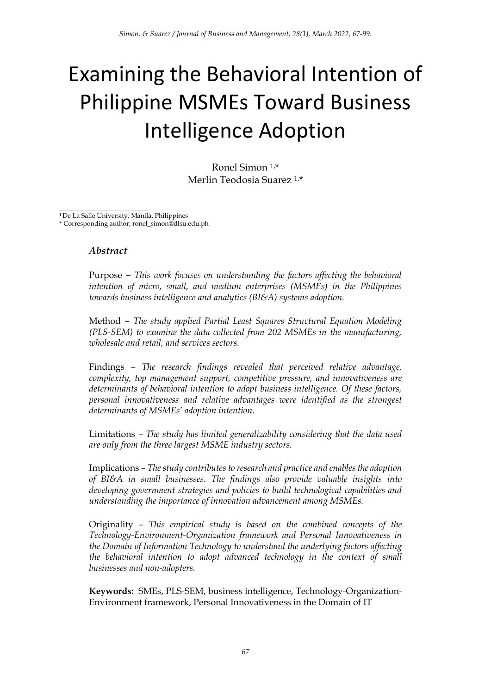# Examining the Behavioral Intention of Philippine MSMEs Toward Business Intelligence Adoption

Ronel Simon 1,\* Merlin Teodosia Suarez 1,\*

\_\_\_\_\_\_\_\_\_\_\_\_\_\_\_\_\_\_\_\_\_\_\_\_\_\_\_ <sup>1</sup>De La Salle University, Manila, Philippines \* Corresponding author, ronel\_simon@dlsu.edu.ph

#### *Abstract*

Purpose *– This work focuses on understanding the factors affecting the behavioral intention of micro, small, and medium enterprises (MSMEs) in the Philippines towards business intelligence and analytics (BI&A) systems adoption.* 

Method *– The study applied Partial Least Squares Structural Equation Modeling (PLS-SEM) to examine the data collected from 202 MSMEs in the manufacturing, wholesale and retail, and services sectors.* 

Findings *– The research findings revealed that perceived relative advantage, complexity, top management support, competitive pressure, and innovativeness are determinants of behavioral intention to adopt business intelligence. Of these factors, personal innovativeness and relative advantages were identified as the strongest determinants of MSMEs' adoption intention.*

Limitations *– The study has limited generalizability considering that the data used are only from the three largest MSME industry sectors.*

Implications – *The study contributes to research and practice and enables the adoption of BI&A in small businesses. The findings also provide valuable insights into developing government strategies and policies to build technological capabilities and understanding the importance of innovation advancement among MSMEs.*

Originality *– This empirical study is based on the combined concepts of the Technology-Environment-Organization framework and Personal Innovativeness in the Domain of Information Technology to understand the underlying factors affecting the behavioral intention to adopt advanced technology in the context of small businesses and non-adopters.*

**Keywords:** SMEs, PLS-SEM, business intelligence, Technology-Organization-Environment framework, Personal Innovativeness in the Domain of IT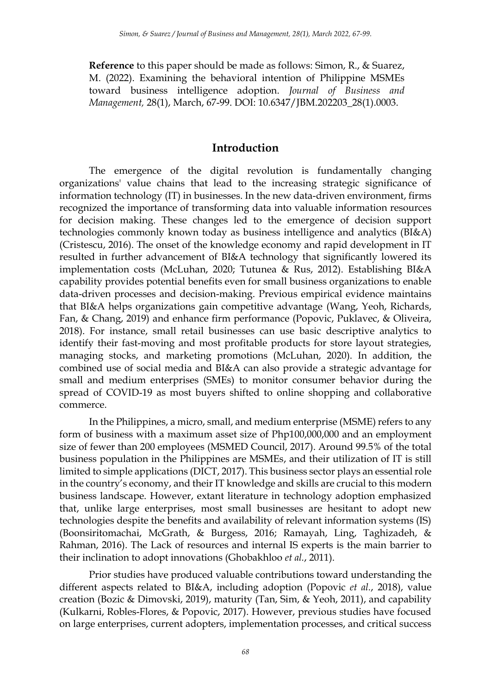**Reference** to this paper should be made as follows: Simon, R., & Suarez, M. (2022). Examining the behavioral intention of Philippine MSMEs toward business intelligence adoption. *Journal of Business and Management,* 28(1), March, 67-99. DOI: 10.6347/JBM.202203\_28(1).0003.

#### **Introduction**

The emergence of the digital revolution is fundamentally changing organizations' value chains that lead to the increasing strategic significance of information technology (IT) in businesses. In the new data-driven environment, firms recognized the importance of transforming data into valuable information resources for decision making. These changes led to the emergence of decision support technologies commonly known today as business intelligence and analytics (BI&A) (Cristescu, 2016). The onset of the knowledge economy and rapid development in IT resulted in further advancement of BI&A technology that significantly lowered its implementation costs (McLuhan, 2020; Tutunea & Rus, 2012). Establishing BI&A capability provides potential benefits even for small business organizations to enable data-driven processes and decision-making. Previous empirical evidence maintains that BI&A helps organizations gain competitive advantage (Wang, Yeoh, Richards, Fan, & Chang, 2019) and enhance firm performance (Popovic, Puklavec, & Oliveira, 2018). For instance, small retail businesses can use basic descriptive analytics to identify their fast-moving and most profitable products for store layout strategies, managing stocks, and marketing promotions (McLuhan, 2020). In addition, the combined use of social media and BI&A can also provide a strategic advantage for small and medium enterprises (SMEs) to monitor consumer behavior during the spread of COVID-19 as most buyers shifted to online shopping and collaborative commerce.

In the Philippines, a micro, small, and medium enterprise (MSME) refers to any form of business with a maximum asset size of Php100,000,000 and an employment size of fewer than 200 employees (MSMED Council, 2017). Around 99.5% of the total business population in the Philippines are MSMEs, and their utilization of IT is still limited to simple applications (DICT, 2017). This business sector plays an essential role in the country's economy, and their IT knowledge and skills are crucial to this modern business landscape. However, extant literature in technology adoption emphasized that, unlike large enterprises, most small businesses are hesitant to adopt new technologies despite the benefits and availability of relevant information systems (IS) (Boonsiritomachai, McGrath, & Burgess, 2016; Ramayah, Ling, Taghizadeh, & Rahman, 2016). The Lack of resources and internal IS experts is the main barrier to their inclination to adopt innovations (Ghobakhloo *et al.*, 2011).

Prior studies have produced valuable contributions toward understanding the different aspects related to BI&A, including adoption (Popovic *et al.*, 2018), value creation (Bozic & Dimovski, 2019), maturity (Tan, Sim, & Yeoh, 2011), and capability (Kulkarni, Robles-Flores, & Popovic, 2017). However, previous studies have focused on large enterprises, current adopters, implementation processes, and critical success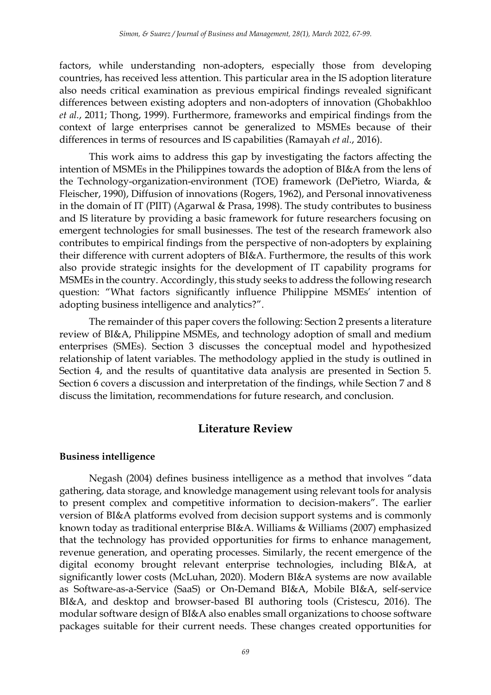factors, while understanding non-adopters, especially those from developing countries, has received less attention. This particular area in the IS adoption literature also needs critical examination as previous empirical findings revealed significant differences between existing adopters and non-adopters of innovation (Ghobakhloo *et al.*, 2011; Thong, 1999). Furthermore, frameworks and empirical findings from the context of large enterprises cannot be generalized to MSMEs because of their differences in terms of resources and IS capabilities (Ramayah *et al.*, 2016).

This work aims to address this gap by investigating the factors affecting the intention of MSMEs in the Philippines towards the adoption of BI&A from the lens of the Technology-organization-environment (TOE) framework (DePietro, Wiarda, & Fleischer, 1990), Diffusion of innovations (Rogers, 1962), and Personal innovativeness in the domain of IT (PIIT) (Agarwal & Prasa, 1998). The study contributes to business and IS literature by providing a basic framework for future researchers focusing on emergent technologies for small businesses. The test of the research framework also contributes to empirical findings from the perspective of non-adopters by explaining their difference with current adopters of BI&A. Furthermore, the results of this work also provide strategic insights for the development of IT capability programs for MSMEs in the country. Accordingly, this study seeks to address the following research question: "What factors significantly influence Philippine MSMEs' intention of adopting business intelligence and analytics?".

The remainder of this paper covers the following: Section 2 presents a literature review of BI&A, Philippine MSMEs, and technology adoption of small and medium enterprises (SMEs). Section 3 discusses the conceptual model and hypothesized relationship of latent variables. The methodology applied in the study is outlined in Section 4, and the results of quantitative data analysis are presented in Section 5. Section 6 covers a discussion and interpretation of the findings, while Section 7 and 8 discuss the limitation, recommendations for future research, and conclusion.

## **Literature Review**

#### **Business intelligence**

Negash (2004) defines business intelligence as a method that involves "data gathering, data storage, and knowledge management using relevant tools for analysis to present complex and competitive information to decision-makers". The earlier version of BI&A platforms evolved from decision support systems and is commonly known today as traditional enterprise BI&A. Williams & Williams (2007) emphasized that the technology has provided opportunities for firms to enhance management, revenue generation, and operating processes. Similarly, the recent emergence of the digital economy brought relevant enterprise technologies, including BI&A, at significantly lower costs (McLuhan, 2020). Modern BI&A systems are now available as Software-as-a-Service (SaaS) or On-Demand BI&A, Mobile BI&A, self-service BI&A, and desktop and browser-based BI authoring tools (Cristescu, 2016). The modular software design of BI&A also enables small organizations to choose software packages suitable for their current needs. These changes created opportunities for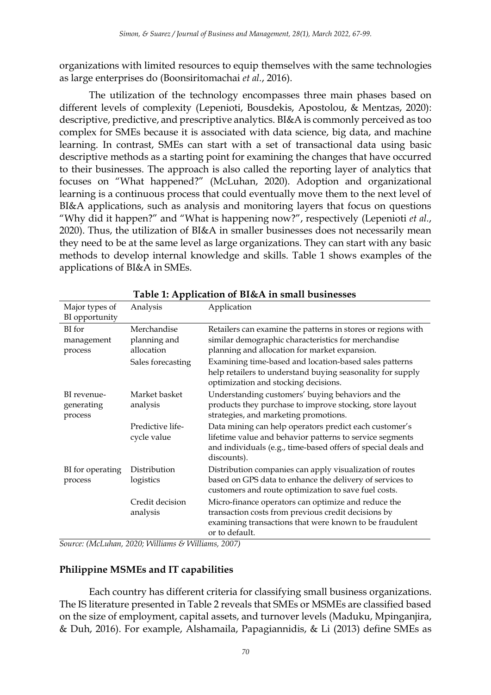organizations with limited resources to equip themselves with the same technologies as large enterprises do (Boonsiritomachai *et al.*, 2016).

The utilization of the technology encompasses three main phases based on different levels of complexity (Lepenioti, Bousdekis, Apostolou, & Mentzas, 2020): descriptive, predictive, and prescriptive analytics. BI&A is commonly perceived as too complex for SMEs because it is associated with data science, big data, and machine learning. In contrast, SMEs can start with a set of transactional data using basic descriptive methods as a starting point for examining the changes that have occurred to their businesses. The approach is also called the reporting layer of analytics that focuses on "What happened?" (McLuhan, 2020). Adoption and organizational learning is a continuous process that could eventually move them to the next level of BI&A applications, such as analysis and monitoring layers that focus on questions "Why did it happen?" and "What is happening now?", respectively (Lepenioti *et al.*, 2020). Thus, the utilization of BI&A in smaller businesses does not necessarily mean they need to be at the same level as large organizations. They can start with any basic methods to develop internal knowledge and skills. Table 1 shows examples of the applications of BI&A in SMEs.

| Major types of<br>BI opportunity     | Analysis                                  | Application                                                                                                                                                                                        |
|--------------------------------------|-------------------------------------------|----------------------------------------------------------------------------------------------------------------------------------------------------------------------------------------------------|
| BI for<br>management<br>process      | Merchandise<br>planning and<br>allocation | Retailers can examine the patterns in stores or regions with<br>similar demographic characteristics for merchandise<br>planning and allocation for market expansion.                               |
|                                      | Sales forecasting                         | Examining time-based and location-based sales patterns<br>help retailers to understand buying seasonality for supply<br>optimization and stocking decisions.                                       |
| BI revenue-<br>generating<br>process | Market basket<br>analysis                 | Understanding customers' buying behaviors and the<br>products they purchase to improve stocking, store layout<br>strategies, and marketing promotions.                                             |
|                                      | Predictive life-<br>cycle value           | Data mining can help operators predict each customer's<br>lifetime value and behavior patterns to service segments<br>and individuals (e.g., time-based offers of special deals and<br>discounts). |
| BI for operating<br>process          | Distribution<br>logistics                 | Distribution companies can apply visualization of routes<br>based on GPS data to enhance the delivery of services to<br>customers and route optimization to save fuel costs.                       |
|                                      | Credit decision<br>analysis               | Micro-finance operators can optimize and reduce the<br>transaction costs from previous credit decisions by<br>examining transactions that were known to be fraudulent<br>or to default.            |

**Table 1: Application of BI&A in small businesses**

*Source: (McLuhan, 2020; Williams & Williams, 2007)*

## **Philippine MSMEs and IT capabilities**

Each country has different criteria for classifying small business organizations. The IS literature presented in Table 2 reveals that SMEs or MSMEs are classified based on the size of employment, capital assets, and turnover levels (Maduku, Mpinganjira, & Duh, 2016). For example, Alshamaila, Papagiannidis, & Li (2013) define SMEs as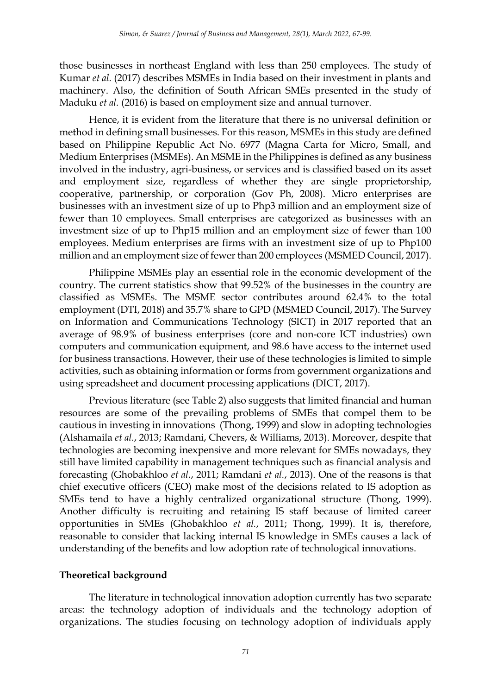those businesses in northeast England with less than 250 employees. The study of Kumar *et al.* (2017) describes MSMEs in India based on their investment in plants and machinery. Also, the definition of South African SMEs presented in the study of Maduku *et al.* (2016) is based on employment size and annual turnover.

Hence, it is evident from the literature that there is no universal definition or method in defining small businesses. For this reason, MSMEs in this study are defined based on Philippine Republic Act No. 6977 (Magna Carta for Micro, Small, and Medium Enterprises (MSMEs). An MSME in the Philippines is defined as any business involved in the industry, agri-business, or services and is classified based on its asset and employment size, regardless of whether they are single proprietorship, cooperative, partnership, or corporation (Gov Ph, 2008). Micro enterprises are businesses with an investment size of up to Php3 million and an employment size of fewer than 10 employees. Small enterprises are categorized as businesses with an investment size of up to Php15 million and an employment size of fewer than 100 employees. Medium enterprises are firms with an investment size of up to Php100 million and an employment size of fewer than 200 employees (MSMED Council, 2017).

Philippine MSMEs play an essential role in the economic development of the country. The current statistics show that 99.52% of the businesses in the country are classified as MSMEs. The MSME sector contributes around 62.4% to the total employment (DTI, 2018) and 35.7% share to GPD (MSMED Council, 2017). The Survey on Information and Communications Technology (SICT) in 2017 reported that an average of 98.9% of business enterprises (core and non-core ICT industries) own computers and communication equipment, and 98.6 have access to the internet used for business transactions. However, their use of these technologies is limited to simple activities, such as obtaining information or forms from government organizations and using spreadsheet and document processing applications (DICT, 2017).

Previous literature (see Table 2) also suggests that limited financial and human resources are some of the prevailing problems of SMEs that compel them to be cautious in investing in innovations (Thong, 1999) and slow in adopting technologies (Alshamaila *et al.*, 2013; Ramdani, Chevers, & Williams, 2013). Moreover, despite that technologies are becoming inexpensive and more relevant for SMEs nowadays, they still have limited capability in management techniques such as financial analysis and forecasting (Ghobakhloo *et al.*, 2011; Ramdani *et al.*, 2013). One of the reasons is that chief executive officers (CEO) make most of the decisions related to IS adoption as SMEs tend to have a highly centralized organizational structure (Thong, 1999). Another difficulty is recruiting and retaining IS staff because of limited career opportunities in SMEs (Ghobakhloo *et al.*, 2011; Thong, 1999). It is, therefore, reasonable to consider that lacking internal IS knowledge in SMEs causes a lack of understanding of the benefits and low adoption rate of technological innovations.

## **Theoretical background**

The literature in technological innovation adoption currently has two separate areas: the technology adoption of individuals and the technology adoption of organizations. The studies focusing on technology adoption of individuals apply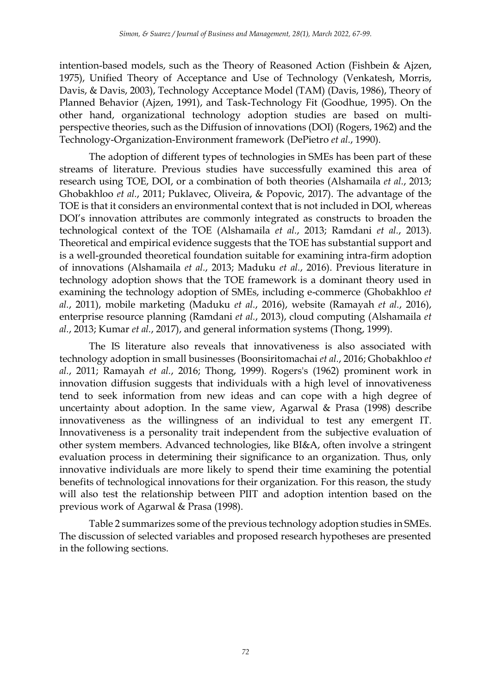intention-based models, such as the Theory of Reasoned Action (Fishbein & Ajzen, 1975), Unified Theory of Acceptance and Use of Technology (Venkatesh, Morris, Davis, & Davis, 2003), Technology Acceptance Model (TAM) (Davis, 1986), Theory of Planned Behavior (Ajzen, 1991), and Task-Technology Fit (Goodhue, 1995). On the other hand, organizational technology adoption studies are based on multiperspective theories, such as the Diffusion of innovations (DOI) (Rogers, 1962) and the Technology-Organization-Environment framework (DePietro *et al.*, 1990).

The adoption of different types of technologies in SMEs has been part of these streams of literature. Previous studies have successfully examined this area of research using TOE, DOI, or a combination of both theories (Alshamaila *et al.*, 2013; Ghobakhloo *et al.*, 2011; Puklavec, Oliveira, & Popovic, 2017). The advantage of the TOE is that it considers an environmental context that is not included in DOI, whereas DOI's innovation attributes are commonly integrated as constructs to broaden the technological context of the TOE (Alshamaila *et al.*, 2013; Ramdani *et al.*, 2013). Theoretical and empirical evidence suggests that the TOE has substantial support and is a well-grounded theoretical foundation suitable for examining intra-firm adoption of innovations (Alshamaila *et al.*, 2013; Maduku *et al.*, 2016). Previous literature in technology adoption shows that the TOE framework is a dominant theory used in examining the technology adoption of SMEs, including e-commerce (Ghobakhloo *et al.*, 2011), mobile marketing (Maduku *et al.*, 2016), website (Ramayah *et al.*, 2016), enterprise resource planning (Ramdani *et al.*, 2013), cloud computing (Alshamaila *et al.*, 2013; Kumar *et al.*, 2017), and general information systems (Thong, 1999).

The IS literature also reveals that innovativeness is also associated with technology adoption in small businesses (Boonsiritomachai *et al.*, 2016; Ghobakhloo *et al.*, 2011; Ramayah *et al.*, 2016; Thong, 1999). Rogers's (1962) prominent work in innovation diffusion suggests that individuals with a high level of innovativeness tend to seek information from new ideas and can cope with a high degree of uncertainty about adoption. In the same view, Agarwal & Prasa (1998) describe innovativeness as the willingness of an individual to test any emergent IT. Innovativeness is a personality trait independent from the subjective evaluation of other system members. Advanced technologies, like BI&A, often involve a stringent evaluation process in determining their significance to an organization. Thus, only innovative individuals are more likely to spend their time examining the potential benefits of technological innovations for their organization. For this reason, the study will also test the relationship between PIIT and adoption intention based on the previous work of Agarwal & Prasa (1998).

Table 2 summarizes some of the previous technology adoption studies in SMEs. The discussion of selected variables and proposed research hypotheses are presented in the following sections.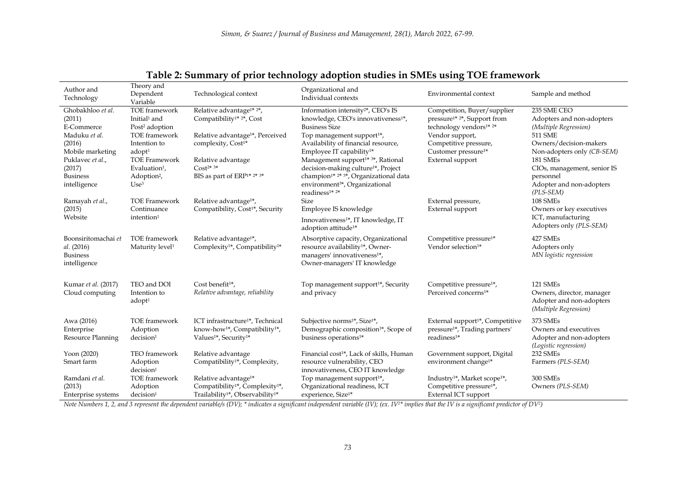| Author and<br>Technology                                             | Theory and<br>Dependent<br>Variable                                                             | Technological context                                                                                                                                    | Organizational and<br>Individual contexts                                                                                                                                                                          | Environmental context                                                                                                                                   | Sample and method                                                                             |
|----------------------------------------------------------------------|-------------------------------------------------------------------------------------------------|----------------------------------------------------------------------------------------------------------------------------------------------------------|--------------------------------------------------------------------------------------------------------------------------------------------------------------------------------------------------------------------|---------------------------------------------------------------------------------------------------------------------------------------------------------|-----------------------------------------------------------------------------------------------|
| Ghobakhloo et al.<br>(2011)<br>E-Commerce<br>Maduku et al.           | <b>TOE</b> framework<br>Initial <sup>1</sup> and<br>Post <sup>2</sup> adoption<br>TOE framework | Relative advantage <sup>1* 2*</sup> ,<br>Compatibility <sup>1*</sup> <sup>2*</sup> , Cost<br>Relative advantage <sup>1*</sup> , Perceived                | Information intensity <sup>2*</sup> , CEO's IS<br>knowledge, CEO's innovativeness <sup>1*</sup> ,<br><b>Business Size</b><br>Top management support <sup>1*</sup> ,                                                | Competition, Buyer/supplier<br>pressure <sup>1*</sup> <sup>2*</sup> , Support from<br>technology vendors <sup>1*</sup> <sup>2*</sup><br>Vendor support, | 235 SME CEO<br>Adopters and non-adopters<br>(Multiple Regression)<br><b>511 SME</b>           |
| (2016)<br>Mobile marketing<br>Puklavec et al.,                       | Intention to<br>adopt <sup>1</sup><br><b>TOE Framework</b>                                      | complexity, Cost <sup>1*</sup><br>Relative advantage<br>$Cost^{2*} 3*$                                                                                   | Availability of financial resource,<br>Employee IT capability <sup>1*</sup><br>Management support <sup>1*</sup> <sup>3*</sup> , Rational                                                                           | Competitive pressure,<br>Customer pressure <sup>1*</sup><br>External support                                                                            | Owners/decision-makers<br>Non-adopters only (CB-SEM)<br>181 SMEs                              |
| (2017)<br><b>Business</b><br>intelligence                            | Evaluation <sup>1</sup> ,<br>Adoption <sup>2</sup> ,<br>Use <sup>3</sup>                        | BIS as part of ERP <sup>1*</sup> <sup>2*</sup> <sup>3*</sup>                                                                                             | decision-making culture <sup>1*</sup> , Project<br>champion <sup>1*</sup> <sup>2*</sup> <sup>3*</sup> , Organizational data<br>environment <sup>3*</sup> , Organizational<br>readiness <sup>1*</sup> <sup>2*</sup> |                                                                                                                                                         | CIOs, management, senior IS<br>personnel<br>Adopter and non-adopters<br>$(PLS-SEM)$           |
| Ramayah et al.,<br>(2015)<br>Website                                 | <b>TOE Framework</b><br>Continuance<br>intention <sup>1</sup>                                   | Relative advantage <sup>1*</sup> ,<br>Compatibility, Cost <sup>1*</sup> , Security                                                                       | Size<br>Employee IS knowledge<br>Innovativeness <sup>1*</sup> , IT knowledge, IT<br>adoption attitude <sup>1*</sup>                                                                                                | External pressure,<br>External support                                                                                                                  | 108 SMEs<br>Owners or key executives<br>ICT, manufacturing<br>Adopters only (PLS-SEM)         |
| Boonsiritomachai et<br>al. (2016)<br><b>Business</b><br>intelligence | TOE framework<br>Maturity level <sup>1</sup>                                                    | Relative advantage <sup>1*</sup> ,<br>Complexity <sup>1*</sup> , Compatibility <sup>1*</sup>                                                             | Absorptive capacity, Organizational<br>resource availability <sup>1*</sup> , Owner-<br>managers' innovativeness <sup>1*</sup> ,<br>Owner-managers' IT knowledge                                                    | Competitive pressure <sup>1*</sup><br>Vendor selection <sup>1*</sup>                                                                                    | 427 SMEs<br>Adopters only<br>MN logistic regression                                           |
| Kumar et al. (2017)<br>Cloud computing                               | TEO and DOI<br>Intention to<br>adopt <sup>1</sup>                                               | Cost benefit <sup>1*</sup> ,<br>Relative advantage, reliability                                                                                          | Top management support <sup>1*</sup> , Security<br>and privacy                                                                                                                                                     | Competitive pressure <sup>1*</sup> ,<br>Perceived concerns <sup>1*</sup>                                                                                | 121 SMEs<br>Owners, director, manager<br>Adopter and non-adopters<br>(Multiple Regression)    |
| Awa (2016)<br>Enterprise<br>Resource Planning                        | <b>TOE</b> framework<br>Adoption<br>decision <sup>1</sup>                                       | ICT infrastructure <sup>1*</sup> , Technical<br>know-how <sup>1*</sup> , Compatibility <sup>1*</sup> ,<br>Values <sup>1*</sup> , Security <sup>1*</sup>  | Subjective norms <sup>1*</sup> , Size <sup>1*</sup> ,<br>Demographic composition <sup>1*</sup> , Scope of<br>business operations <sup>1*</sup>                                                                     | External support <sup>1*</sup> , Competitive<br>pressure <sup>1*</sup> , Trading partners'<br>readiness <sup>1*</sup>                                   | <b>373 SMEs</b><br>Owners and executives<br>Adopter and non-adopters<br>(Logistic regression) |
| Yoon (2020)<br>Smart farm                                            | TEO framework<br>Adoption<br>decision <sup>1</sup>                                              | Relative advantage<br>Compatibility <sup>1*</sup> , Complexity,                                                                                          | Financial cost <sup>1*</sup> , Lack of skills, Human<br>resource vulnerability, CEO<br>innovativeness, CEO IT knowledge                                                                                            | Government support, Digital<br>environment change <sup>1*</sup>                                                                                         | 232 SMEs<br>Farmers (PLS-SEM)                                                                 |
| Ramdani et al.<br>(2013)<br>Enterprise systems                       | <b>TOE</b> framework<br>Adoption<br>decision <sup>1</sup>                                       | Relative advantage <sup>1*</sup><br>Compatibility <sup>1*</sup> , Complexity <sup>1*</sup> ,<br>Trailability <sup>1*</sup> , Observability <sup>1*</sup> | Top management support <sup>1*</sup> ,<br>Organizational readiness, ICT<br>experience, Size <sup>1*</sup>                                                                                                          | Industry <sup>1*</sup> , Market scope <sup>1*</sup> ,<br>Competitive pressure <sup>1*</sup> ,<br>External ICT support                                   | <b>300 SMEs</b><br>Owners (PLS-SEM)                                                           |

**Table 2: Summary of prior technology adoption studies in SMEs using TOE framework**

Note Numbers 1, 2, and 3 represent the dependent variable/s (DV); \* indicates a significant independent variable (IV); (ex. IV<sup>2\*</sup> implies that the IV is a significant predictor of DV<sup>2</sup>)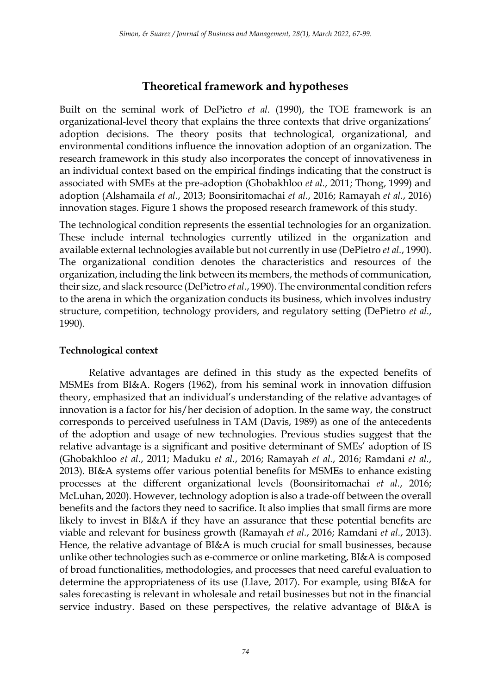# **Theoretical framework and hypotheses**

Built on the seminal work of DePietro *et al.* (1990), the TOE framework is an organizational-level theory that explains the three contexts that drive organizations' adoption decisions. The theory posits that technological, organizational, and environmental conditions influence the innovation adoption of an organization. The research framework in this study also incorporates the concept of innovativeness in an individual context based on the empirical findings indicating that the construct is associated with SMEs at the pre-adoption (Ghobakhloo *et al.*, 2011; Thong, 1999) and adoption (Alshamaila *et al.*, 2013; Boonsiritomachai *et al.*, 2016; Ramayah *et al.*, 2016) innovation stages. Figure 1 shows the proposed research framework of this study.

The technological condition represents the essential technologies for an organization. These include internal technologies currently utilized in the organization and available external technologies available but not currently in use (DePietro *et al.*, 1990). The organizational condition denotes the characteristics and resources of the organization, including the link between its members, the methods of communication, their size, and slack resource (DePietro *et al.*, 1990). The environmental condition refers to the arena in which the organization conducts its business, which involves industry structure, competition, technology providers, and regulatory setting (DePietro *et al.*, 1990).

## **Technological context**

Relative advantages are defined in this study as the expected benefits of MSMEs from BI&A. Rogers (1962), from his seminal work in innovation diffusion theory, emphasized that an individual's understanding of the relative advantages of innovation is a factor for his/her decision of adoption. In the same way, the construct corresponds to perceived usefulness in TAM (Davis, 1989) as one of the antecedents of the adoption and usage of new technologies. Previous studies suggest that the relative advantage is a significant and positive determinant of SMEs' adoption of IS (Ghobakhloo *et al.*, 2011; Maduku *et al.*, 2016; Ramayah *et al.*, 2016; Ramdani *et al.*, 2013). BI&A systems offer various potential benefits for MSMEs to enhance existing processes at the different organizational levels (Boonsiritomachai *et al.*, 2016; McLuhan, 2020). However, technology adoption is also a trade-off between the overall benefits and the factors they need to sacrifice. It also implies that small firms are more likely to invest in BI&A if they have an assurance that these potential benefits are viable and relevant for business growth (Ramayah *et al.*, 2016; Ramdani *et al.*, 2013). Hence, the relative advantage of BI&A is much crucial for small businesses, because unlike other technologies such as e-commerce or online marketing, BI&A is composed of broad functionalities, methodologies, and processes that need careful evaluation to determine the appropriateness of its use (Llave, 2017). For example, using BI&A for sales forecasting is relevant in wholesale and retail businesses but not in the financial service industry. Based on these perspectives, the relative advantage of BI&A is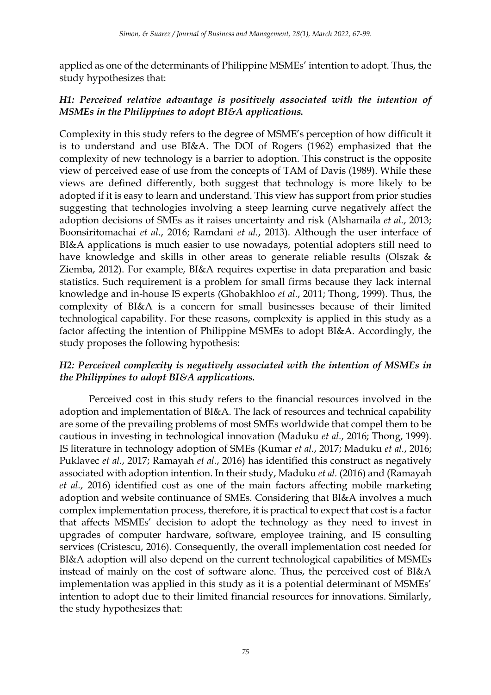applied as one of the determinants of Philippine MSMEs' intention to adopt. Thus, the study hypothesizes that:

## *H1: Perceived relative advantage is positively associated with the intention of MSMEs in the Philippines to adopt BI&A applications.*

Complexity in this study refers to the degree of MSME's perception of how difficult it is to understand and use BI&A. The DOI of Rogers (1962) emphasized that the complexity of new technology is a barrier to adoption. This construct is the opposite view of perceived ease of use from the concepts of TAM of Davis (1989). While these views are defined differently, both suggest that technology is more likely to be adopted if it is easy to learn and understand. This view has support from prior studies suggesting that technologies involving a steep learning curve negatively affect the adoption decisions of SMEs as it raises uncertainty and risk (Alshamaila *et al.*, 2013; Boonsiritomachai *et al.*, 2016; Ramdani *et al.*, 2013). Although the user interface of BI&A applications is much easier to use nowadays, potential adopters still need to have knowledge and skills in other areas to generate reliable results (Olszak & Ziemba, 2012). For example, BI&A requires expertise in data preparation and basic statistics. Such requirement is a problem for small firms because they lack internal knowledge and in-house IS experts (Ghobakhloo *et al.*, 2011; Thong, 1999). Thus, the complexity of BI&A is a concern for small businesses because of their limited technological capability. For these reasons, complexity is applied in this study as a factor affecting the intention of Philippine MSMEs to adopt BI&A. Accordingly, the study proposes the following hypothesis:

## *H2: Perceived complexity is negatively associated with the intention of MSMEs in the Philippines to adopt BI&A applications.*

Perceived cost in this study refers to the financial resources involved in the adoption and implementation of BI&A. The lack of resources and technical capability are some of the prevailing problems of most SMEs worldwide that compel them to be cautious in investing in technological innovation (Maduku *et al.*, 2016; Thong, 1999). IS literature in technology adoption of SMEs (Kumar *et al.*, 2017; Maduku *et al.*, 2016; Puklavec *et al.*, 2017; Ramayah *et al.*, 2016) has identified this construct as negatively associated with adoption intention. In their study, Maduku *et al.* (2016) and (Ramayah *et al.*, 2016) identified cost as one of the main factors affecting mobile marketing adoption and website continuance of SMEs. Considering that BI&A involves a much complex implementation process, therefore, it is practical to expect that cost is a factor that affects MSMEs' decision to adopt the technology as they need to invest in upgrades of computer hardware, software, employee training, and IS consulting services (Cristescu, 2016). Consequently, the overall implementation cost needed for BI&A adoption will also depend on the current technological capabilities of MSMEs instead of mainly on the cost of software alone. Thus, the perceived cost of BI&A implementation was applied in this study as it is a potential determinant of MSMEs' intention to adopt due to their limited financial resources for innovations. Similarly, the study hypothesizes that: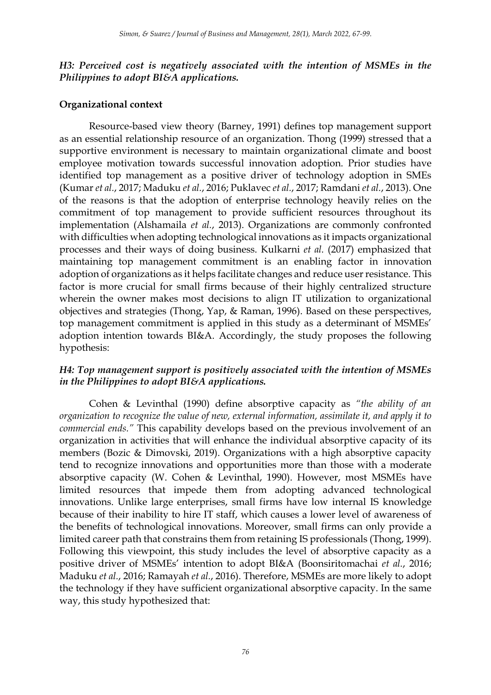## *H3: Perceived cost is negatively associated with the intention of MSMEs in the Philippines to adopt BI&A applications.*

#### **Organizational context**

Resource-based view theory (Barney, 1991) defines top management support as an essential relationship resource of an organization. Thong (1999) stressed that a supportive environment is necessary to maintain organizational climate and boost employee motivation towards successful innovation adoption. Prior studies have identified top management as a positive driver of technology adoption in SMEs (Kumar *et al.*, 2017; Maduku *et al.*, 2016; Puklavec *et al.*, 2017; Ramdani *et al.*, 2013). One of the reasons is that the adoption of enterprise technology heavily relies on the commitment of top management to provide sufficient resources throughout its implementation (Alshamaila *et al.*, 2013). Organizations are commonly confronted with difficulties when adopting technological innovations as it impacts organizational processes and their ways of doing business. Kulkarni *et al.* (2017) emphasized that maintaining top management commitment is an enabling factor in innovation adoption of organizations as it helps facilitate changes and reduce user resistance. This factor is more crucial for small firms because of their highly centralized structure wherein the owner makes most decisions to align IT utilization to organizational objectives and strategies (Thong, Yap, & Raman, 1996). Based on these perspectives, top management commitment is applied in this study as a determinant of MSMEs' adoption intention towards BI&A. Accordingly, the study proposes the following hypothesis:

## *H4: Top management support is positively associated with the intention of MSMEs in the Philippines to adopt BI&A applications.*

Cohen & Levinthal (1990) define absorptive capacity as *"the ability of an organization to recognize the value of new, external information, assimilate it, and apply it to commercial ends."* This capability develops based on the previous involvement of an organization in activities that will enhance the individual absorptive capacity of its members (Bozic & Dimovski, 2019). Organizations with a high absorptive capacity tend to recognize innovations and opportunities more than those with a moderate absorptive capacity (W. Cohen & Levinthal, 1990). However, most MSMEs have limited resources that impede them from adopting advanced technological innovations. Unlike large enterprises, small firms have low internal IS knowledge because of their inability to hire IT staff, which causes a lower level of awareness of the benefits of technological innovations. Moreover, small firms can only provide a limited career path that constrains them from retaining IS professionals (Thong, 1999). Following this viewpoint, this study includes the level of absorptive capacity as a positive driver of MSMEs' intention to adopt BI&A (Boonsiritomachai *et al.*, 2016; Maduku *et al.*, 2016; Ramayah *et al.*, 2016). Therefore, MSMEs are more likely to adopt the technology if they have sufficient organizational absorptive capacity. In the same way, this study hypothesized that: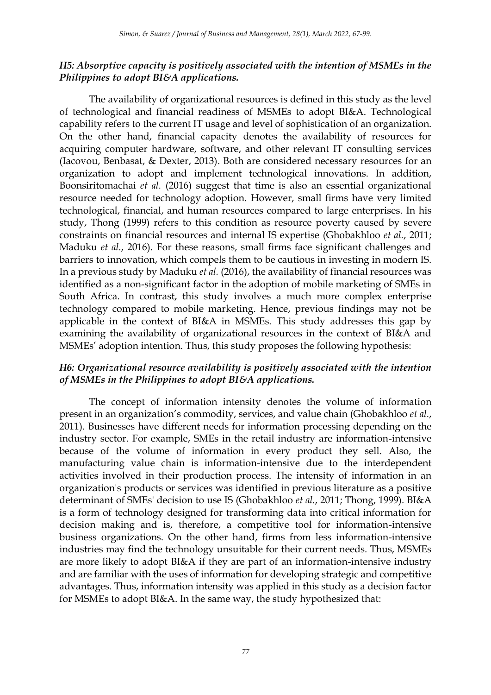## *H5: Absorptive capacity is positively associated with the intention of MSMEs in the Philippines to adopt BI&A applications.*

The availability of organizational resources is defined in this study as the level of technological and financial readiness of MSMEs to adopt BI&A. Technological capability refers to the current IT usage and level of sophistication of an organization. On the other hand, financial capacity denotes the availability of resources for acquiring computer hardware, software, and other relevant IT consulting services (Iacovou, Benbasat, & Dexter, 2013). Both are considered necessary resources for an organization to adopt and implement technological innovations. In addition, Boonsiritomachai *et al.* (2016) suggest that time is also an essential organizational resource needed for technology adoption. However, small firms have very limited technological, financial, and human resources compared to large enterprises. In his study, Thong (1999) refers to this condition as resource poverty caused by severe constraints on financial resources and internal IS expertise (Ghobakhloo *et al.*, 2011; Maduku *et al.*, 2016). For these reasons, small firms face significant challenges and barriers to innovation, which compels them to be cautious in investing in modern IS. In a previous study by Maduku *et al.* (2016), the availability of financial resources was identified as a non-significant factor in the adoption of mobile marketing of SMEs in South Africa. In contrast, this study involves a much more complex enterprise technology compared to mobile marketing. Hence, previous findings may not be applicable in the context of BI&A in MSMEs. This study addresses this gap by examining the availability of organizational resources in the context of BI&A and MSMEs' adoption intention. Thus, this study proposes the following hypothesis:

## *H6: Organizational resource availability is positively associated with the intention of MSMEs in the Philippines to adopt BI&A applications.*

The concept of information intensity denotes the volume of information present in an organization's commodity, services, and value chain (Ghobakhloo *et al.*, 2011). Businesses have different needs for information processing depending on the industry sector. For example, SMEs in the retail industry are information-intensive because of the volume of information in every product they sell. Also, the manufacturing value chain is information-intensive due to the interdependent activities involved in their production process. The intensity of information in an organization's products or services was identified in previous literature as a positive determinant of SMEs' decision to use IS (Ghobakhloo *et al.*, 2011; Thong, 1999). BI&A is a form of technology designed for transforming data into critical information for decision making and is, therefore, a competitive tool for information-intensive business organizations. On the other hand, firms from less information-intensive industries may find the technology unsuitable for their current needs. Thus, MSMEs are more likely to adopt BI&A if they are part of an information-intensive industry and are familiar with the uses of information for developing strategic and competitive advantages. Thus, information intensity was applied in this study as a decision factor for MSMEs to adopt BI&A. In the same way, the study hypothesized that: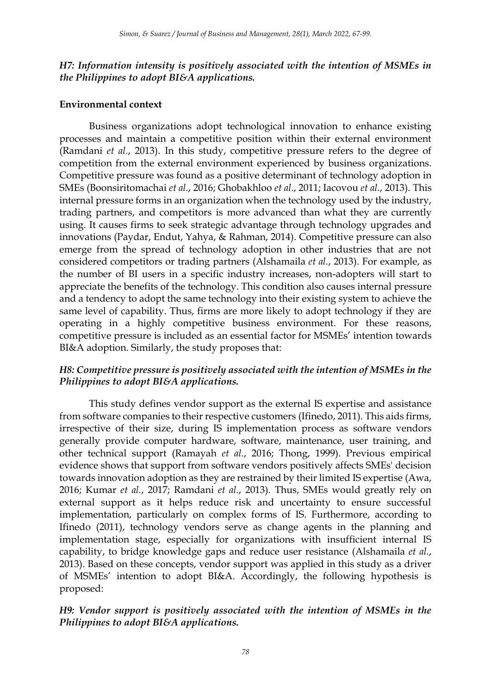## *H7: Information intensity is positively associated with the intention of MSMEs in the Philippines to adopt BI&A applications.*

#### **Environmental context**

Business organizations adopt technological innovation to enhance existing processes and maintain a competitive position within their external environment (Ramdani *et al.*, 2013). In this study, competitive pressure refers to the degree of competition from the external environment experienced by business organizations. Competitive pressure was found as a positive determinant of technology adoption in SMEs (Boonsiritomachai *et al.*, 2016; Ghobakhloo *et al.*, 2011; Iacovou *et al.*, 2013). This internal pressure forms in an organization when the technology used by the industry, trading partners, and competitors is more advanced than what they are currently using. It causes firms to seek strategic advantage through technology upgrades and innovations (Paydar, Endut, Yahya, & Rahman, 2014). Competitive pressure can also emerge from the spread of technology adoption in other industries that are not considered competitors or trading partners (Alshamaila *et al.*, 2013). For example, as the number of BI users in a specific industry increases, non-adopters will start to appreciate the benefits of the technology. This condition also causes internal pressure and a tendency to adopt the same technology into their existing system to achieve the same level of capability. Thus, firms are more likely to adopt technology if they are operating in a highly competitive business environment. For these reasons, competitive pressure is included as an essential factor for MSMEs' intention towards BI&A adoption. Similarly, the study proposes that:

## *H8: Competitive pressure is positively associated with the intention of MSMEs in the Philippines to adopt BI&A applications.*

This study defines vendor support as the external IS expertise and assistance from software companies to their respective customers (Ifinedo, 2011). This aids firms, irrespective of their size, during IS implementation process as software vendors generally provide computer hardware, software, maintenance, user training, and other technical support (Ramayah *et al.*, 2016; Thong, 1999). Previous empirical evidence shows that support from software vendors positively affects SMEs' decision towards innovation adoption as they are restrained by their limited IS expertise (Awa, 2016; Kumar *et al.*, 2017; Ramdani *et al.*, 2013). Thus, SMEs would greatly rely on external support as it helps reduce risk and uncertainty to ensure successful implementation, particularly on complex forms of IS. Furthermore, according to Ifinedo (2011), technology vendors serve as change agents in the planning and implementation stage, especially for organizations with insufficient internal IS capability, to bridge knowledge gaps and reduce user resistance (Alshamaila *et al.*, 2013). Based on these concepts, vendor support was applied in this study as a driver of MSMEs' intention to adopt BI&A. Accordingly, the following hypothesis is proposed:

## *H9: Vendor support is positively associated with the intention of MSMEs in the Philippines to adopt BI&A applications.*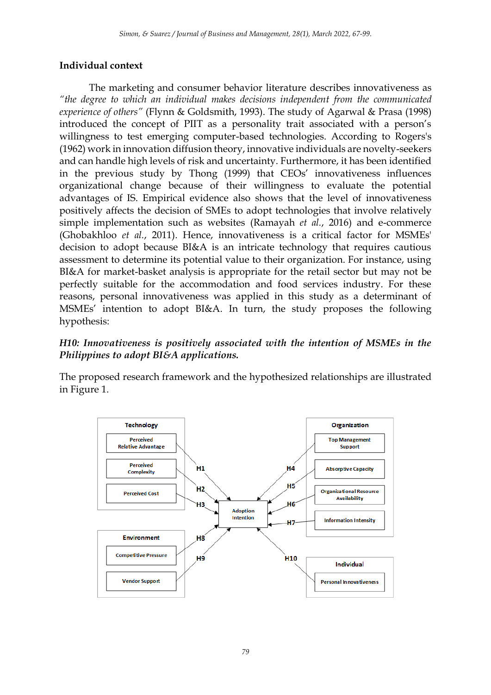## **Individual context**

The marketing and consumer behavior literature describes innovativeness as *"the degree to which an individual makes decisions independent from the communicated experience of others"* (Flynn & Goldsmith, 1993). The study of Agarwal & Prasa (1998) introduced the concept of PIIT as a personality trait associated with a person's willingness to test emerging computer-based technologies. According to Rogers's (1962) work in innovation diffusion theory, innovative individuals are novelty-seekers and can handle high levels of risk and uncertainty. Furthermore, it has been identified in the previous study by Thong (1999) that CEOs' innovativeness influences organizational change because of their willingness to evaluate the potential advantages of IS. Empirical evidence also shows that the level of innovativeness positively affects the decision of SMEs to adopt technologies that involve relatively simple implementation such as websites (Ramayah *et al.*, 2016) and e-commerce (Ghobakhloo *et al.*, 2011). Hence, innovativeness is a critical factor for MSMEs' decision to adopt because BI&A is an intricate technology that requires cautious assessment to determine its potential value to their organization. For instance, using BI&A for market-basket analysis is appropriate for the retail sector but may not be perfectly suitable for the accommodation and food services industry. For these reasons, personal innovativeness was applied in this study as a determinant of MSMEs' intention to adopt BI&A. In turn, the study proposes the following hypothesis:

## *H10: Innovativeness is positively associated with the intention of MSMEs in the Philippines to adopt BI&A applications.*

The proposed research framework and the hypothesized relationships are illustrated in Figure 1.

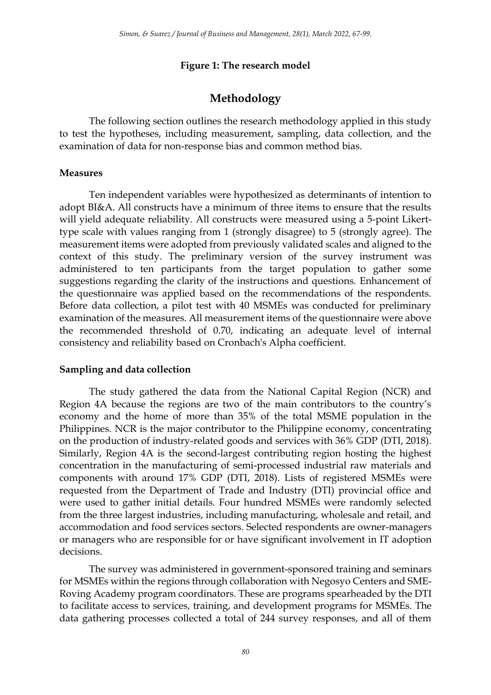#### **Figure 1: The research model**

## **Methodology**

The following section outlines the research methodology applied in this study to test the hypotheses, including measurement, sampling, data collection, and the examination of data for non-response bias and common method bias.

#### **Measures**

Ten independent variables were hypothesized as determinants of intention to adopt BI&A. All constructs have a minimum of three items to ensure that the results will yield adequate reliability. All constructs were measured using a 5-point Likerttype scale with values ranging from 1 (strongly disagree) to 5 (strongly agree). The measurement items were adopted from previously validated scales and aligned to the context of this study. The preliminary version of the survey instrument was administered to ten participants from the target population to gather some suggestions regarding the clarity of the instructions and questions. Enhancement of the questionnaire was applied based on the recommendations of the respondents. Before data collection, a pilot test with 40 MSMEs was conducted for preliminary examination of the measures. All measurement items of the questionnaire were above the recommended threshold of 0.70, indicating an adequate level of internal consistency and reliability based on Cronbach's Alpha coefficient.

#### **Sampling and data collection**

The study gathered the data from the National Capital Region (NCR) and Region 4A because the regions are two of the main contributors to the country's economy and the home of more than 35% of the total MSME population in the Philippines. NCR is the major contributor to the Philippine economy, concentrating on the production of industry-related goods and services with 36% GDP (DTI, 2018). Similarly, Region 4A is the second-largest contributing region hosting the highest concentration in the manufacturing of semi-processed industrial raw materials and components with around 17% GDP (DTI, 2018). Lists of registered MSMEs were requested from the Department of Trade and Industry (DTI) provincial office and were used to gather initial details. Four hundred MSMEs were randomly selected from the three largest industries, including manufacturing, wholesale and retail, and accommodation and food services sectors. Selected respondents are owner-managers or managers who are responsible for or have significant involvement in IT adoption decisions.

The survey was administered in government-sponsored training and seminars for MSMEs within the regions through collaboration with Negosyo Centers and SME-Roving Academy program coordinators. These are programs spearheaded by the DTI to facilitate access to services, training, and development programs for MSMEs. The data gathering processes collected a total of 244 survey responses, and all of them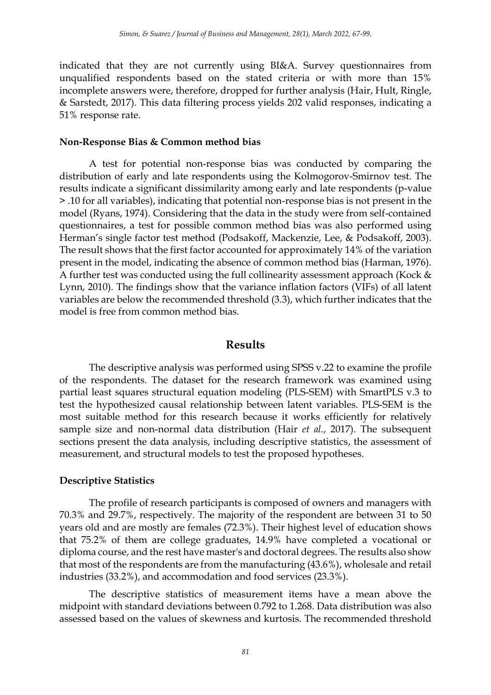indicated that they are not currently using BI&A. Survey questionnaires from unqualified respondents based on the stated criteria or with more than 15% incomplete answers were, therefore, dropped for further analysis (Hair, Hult, Ringle, & Sarstedt, 2017). This data filtering process yields 202 valid responses, indicating a 51% response rate.

#### **Non-Response Bias & Common method bias**

A test for potential non-response bias was conducted by comparing the distribution of early and late respondents using the Kolmogorov-Smirnov test. The results indicate a significant dissimilarity among early and late respondents (p-value > .10 for all variables), indicating that potential non-response bias is not present in the model (Ryans, 1974). Considering that the data in the study were from self-contained questionnaires, a test for possible common method bias was also performed using Herman's single factor test method (Podsakoff, Mackenzie, Lee, & Podsakoff, 2003). The result shows that the first factor accounted for approximately 14% of the variation present in the model, indicating the absence of common method bias (Harman, 1976). A further test was conducted using the full collinearity assessment approach (Kock & Lynn, 2010). The findings show that the variance inflation factors (VIFs) of all latent variables are below the recommended threshold (3.3), which further indicates that the model is free from common method bias.

#### **Results**

The descriptive analysis was performed using SPSS v.22 to examine the profile of the respondents. The dataset for the research framework was examined using partial least squares structural equation modeling (PLS-SEM) with SmartPLS v.3 to test the hypothesized causal relationship between latent variables. PLS-SEM is the most suitable method for this research because it works efficiently for relatively sample size and non-normal data distribution (Hair *et al.*, 2017). The subsequent sections present the data analysis, including descriptive statistics, the assessment of measurement, and structural models to test the proposed hypotheses.

#### **Descriptive Statistics**

The profile of research participants is composed of owners and managers with 70.3% and 29.7%, respectively. The majority of the respondent are between 31 to 50 years old and are mostly are females (72.3%). Their highest level of education shows that 75.2% of them are college graduates, 14.9% have completed a vocational or diploma course, and the rest have master's and doctoral degrees. The results also show that most of the respondents are from the manufacturing (43.6%), wholesale and retail industries (33.2%), and accommodation and food services (23.3%).

The descriptive statistics of measurement items have a mean above the midpoint with standard deviations between 0.792 to 1.268. Data distribution was also assessed based on the values of skewness and kurtosis. The recommended threshold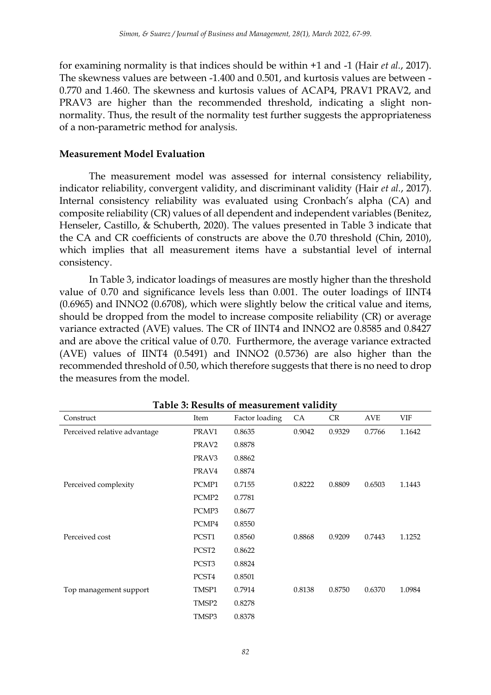for examining normality is that indices should be within +1 and -1 (Hair *et al.*, 2017). The skewness values are between -1.400 and 0.501, and kurtosis values are between - 0.770 and 1.460. The skewness and kurtosis values of ACAP4, PRAV1 PRAV2, and PRAV3 are higher than the recommended threshold, indicating a slight nonnormality. Thus, the result of the normality test further suggests the appropriateness of a non-parametric method for analysis.

#### **Measurement Model Evaluation**

The measurement model was assessed for internal consistency reliability, indicator reliability, convergent validity, and discriminant validity (Hair *et al.*, 2017). Internal consistency reliability was evaluated using Cronbach's alpha (CA) and composite reliability (CR) values of all dependent and independent variables (Benitez, Henseler, Castillo, & Schuberth, 2020). The values presented in Table 3 indicate that the CA and CR coefficients of constructs are above the 0.70 threshold (Chin, 2010), which implies that all measurement items have a substantial level of internal consistency.

In Table 3, indicator loadings of measures are mostly higher than the threshold value of 0.70 and significance levels less than 0.001. The outer loadings of IINT4 (0.6965) and INNO2 (0.6708), which were slightly below the critical value and items, should be dropped from the model to increase composite reliability (CR) or average variance extracted (AVE) values. The CR of IINT4 and INNO2 are 0.8585 and 0.8427 and are above the critical value of 0.70. Furthermore, the average variance extracted (AVE) values of IINT4 (0.5491) and INNO2 (0.5736) are also higher than the recommended threshold of 0.50, which therefore suggests that there is no need to drop the measures from the model.

| Table 5: Results of measurement validity |                   |                |           |        |        |        |  |  |  |
|------------------------------------------|-------------------|----------------|-----------|--------|--------|--------|--|--|--|
| Construct                                | Item              | Factor loading | <b>CA</b> | CR     | AVE    | VIF    |  |  |  |
| Perceived relative advantage             | PRAV1             | 0.8635         | 0.9042    | 0.9329 | 0.7766 | 1.1642 |  |  |  |
|                                          | PRAV <sub>2</sub> | 0.8878         |           |        |        |        |  |  |  |
|                                          | PRAV3             | 0.8862         |           |        |        |        |  |  |  |
|                                          | PRAV4             | 0.8874         |           |        |        |        |  |  |  |
| Perceived complexity                     | PCMP1             | 0.7155         | 0.8222    | 0.8809 | 0.6503 | 1.1443 |  |  |  |
|                                          | PCMP2             | 0.7781         |           |        |        |        |  |  |  |
|                                          | PCMP3             | 0.8677         |           |        |        |        |  |  |  |
|                                          | PCMP4             | 0.8550         |           |        |        |        |  |  |  |
| Perceived cost                           | PCST1             | 0.8560         | 0.8868    | 0.9209 | 0.7443 | 1.1252 |  |  |  |
|                                          | PCST <sub>2</sub> | 0.8622         |           |        |        |        |  |  |  |
|                                          | PCST3             | 0.8824         |           |        |        |        |  |  |  |
|                                          | PCST4             | 0.8501         |           |        |        |        |  |  |  |
| Top management support                   | TMSP1             | 0.7914         | 0.8138    | 0.8750 | 0.6370 | 1.0984 |  |  |  |
|                                          | TMSP2             | 0.8278         |           |        |        |        |  |  |  |
|                                          | TMSP3             | 0.8378         |           |        |        |        |  |  |  |

**Table 3: Results of measurement validity**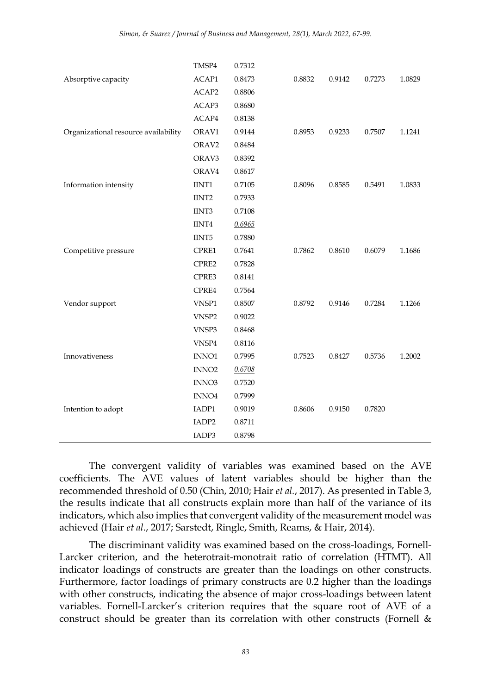|                                      | TMSP4             | 0.7312 |        |        |        |        |
|--------------------------------------|-------------------|--------|--------|--------|--------|--------|
| Absorptive capacity                  | ACAP1             | 0.8473 | 0.8832 | 0.9142 | 0.7273 | 1.0829 |
|                                      | ACAP2             | 0.8806 |        |        |        |        |
|                                      | ACAP3             | 0.8680 |        |        |        |        |
|                                      | ACAP4             | 0.8138 |        |        |        |        |
| Organizational resource availability | ORAV1             | 0.9144 | 0.8953 | 0.9233 | 0.7507 | 1.1241 |
|                                      | ORAV <sub>2</sub> | 0.8484 |        |        |        |        |
|                                      | ORAV3             | 0.8392 |        |        |        |        |
|                                      | ORAV4             | 0.8617 |        |        |        |        |
| Information intensity                | IINT1             | 0.7105 | 0.8096 | 0.8585 | 0.5491 | 1.0833 |
|                                      | IINT <sub>2</sub> | 0.7933 |        |        |        |        |
|                                      | IINT3             | 0.7108 |        |        |        |        |
|                                      | IINT4             | 0.6965 |        |        |        |        |
|                                      | IINT5             | 0.7880 |        |        |        |        |
| Competitive pressure                 | CPRE1             | 0.7641 | 0.7862 | 0.8610 | 0.6079 | 1.1686 |
|                                      | CPRE2             | 0.7828 |        |        |        |        |
|                                      | CPRE3             | 0.8141 |        |        |        |        |
|                                      | CPRE4             | 0.7564 |        |        |        |        |
| Vendor support                       | VNSP1             | 0.8507 | 0.8792 | 0.9146 | 0.7284 | 1.1266 |
|                                      | VNSP2             | 0.9022 |        |        |        |        |
|                                      | VNSP3             | 0.8468 |        |        |        |        |
|                                      | VNSP4             | 0.8116 |        |        |        |        |
| Innovativeness                       | INNO1             | 0.7995 | 0.7523 | 0.8427 | 0.5736 | 1.2002 |
|                                      | INNO <sub>2</sub> | 0.6708 |        |        |        |        |
|                                      | INNO <sub>3</sub> | 0.7520 |        |        |        |        |
|                                      | $\mathrm{INNO4}$  | 0.7999 |        |        |        |        |
| Intention to adopt                   | IADP1             | 0.9019 | 0.8606 | 0.9150 | 0.7820 |        |
|                                      | IADP2             | 0.8711 |        |        |        |        |
|                                      | IADP3             | 0.8798 |        |        |        |        |

The convergent validity of variables was examined based on the AVE coefficients. The AVE values of latent variables should be higher than the recommended threshold of 0.50 (Chin, 2010; Hair *et al.*, 2017). As presented in Table 3, the results indicate that all constructs explain more than half of the variance of its indicators, which also implies that convergent validity of the measurement model was achieved (Hair *et al.*, 2017; Sarstedt, Ringle, Smith, Reams, & Hair, 2014).

The discriminant validity was examined based on the cross-loadings, Fornell-Larcker criterion, and the heterotrait-monotrait ratio of correlation (HTMT). All indicator loadings of constructs are greater than the loadings on other constructs. Furthermore, factor loadings of primary constructs are 0.2 higher than the loadings with other constructs, indicating the absence of major cross-loadings between latent variables. Fornell-Larcker's criterion requires that the square root of AVE of a construct should be greater than its correlation with other constructs (Fornell  $\&$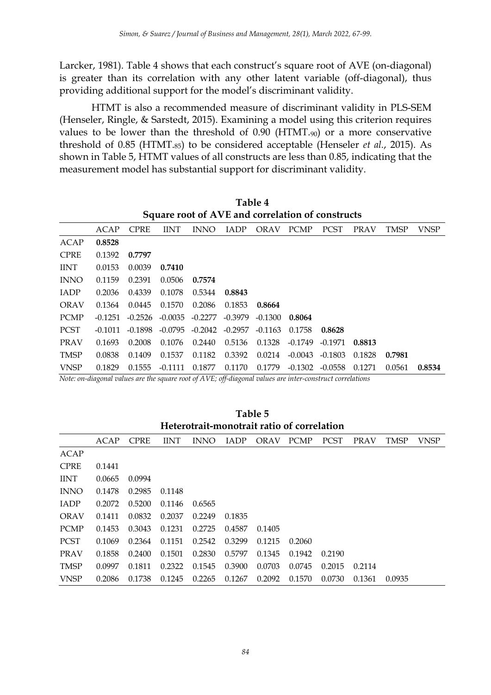Larcker, 1981). Table 4 shows that each construct's square root of AVE (on-diagonal) is greater than its correlation with any other latent variable (off-diagonal), thus providing additional support for the model's discriminant validity.

HTMT is also a recommended measure of discriminant validity in PLS-SEM (Henseler, Ringle, & Sarstedt, 2015). Examining a model using this criterion requires values to be lower than the threshold of 0.90 (HTMT.90) or a more conservative threshold of 0.85 (HTMT.85) to be considered acceptable (Henseler *et al.*, 2015). As shown in Table 5, HTMT values of all constructs are less than 0.85, indicating that the measurement model has substantial support for discriminant validity.

| Square foot of AVE and correlation of constructs |           |             |             |             |             |             |             |             |             |             |        |
|--------------------------------------------------|-----------|-------------|-------------|-------------|-------------|-------------|-------------|-------------|-------------|-------------|--------|
|                                                  | ACAP      | <b>CPRE</b> | <b>IINT</b> | <b>INNO</b> | <b>IADP</b> | <b>ORAV</b> | <b>PCMP</b> | <b>PCST</b> | <b>PRAV</b> | <b>TMSP</b> | VNSP   |
| ACAP                                             | 0.8528    |             |             |             |             |             |             |             |             |             |        |
| <b>CPRE</b>                                      | 0.1392    | 0.7797      |             |             |             |             |             |             |             |             |        |
| <b>IINT</b>                                      | 0.0153    | 0.0039      | 0.7410      |             |             |             |             |             |             |             |        |
| <b>INNO</b>                                      | 0.1159    | 0.2391      | 0.0506      | 0.7574      |             |             |             |             |             |             |        |
| <b>IADP</b>                                      | 0.2036    | 0.4339      | 0.1078      | 0.5344      | 0.8843      |             |             |             |             |             |        |
| <b>ORAV</b>                                      | 0.1364    | 0.0445      | 0.1570      | 0.2086      | 0.1853      | 0.8664      |             |             |             |             |        |
| <b>PCMP</b>                                      | $-0.1251$ | $-0.2526$   | $-0.0035$   | $-0.2277$   | $-0.3979$   | $-0.1300$   | 0.8064      |             |             |             |        |
| <b>PCST</b>                                      | $-0.1011$ | -0.1898     | $-0.0795$   | $-0.2042$   | $-0.2957$   | $-0.1163$   | 0.1758      | 0.8628      |             |             |        |
| <b>PRAV</b>                                      | 0.1693    | 0.2008      | 0.1076      | 0.2440      | 0.5136      | 0.1328      | $-0.1749$   | $-0.1971$   | 0.8813      |             |        |
| <b>TMSP</b>                                      | 0.0838    | 0.1409      | 0.1537      | 0.1182      | 0.3392      | 0.0214      | $-0.0043$   | $-0.1803$   | 0.1828      | 0.7981      |        |
| <b>VNSP</b>                                      | 0.1829    | 0.1555      | $-0.1111$   | 0.1877      | 0.1170      | 0.1779      | $-0.1302$   | $-0.0558$   | 0.1271      | 0.0561      | 0.8534 |

**Table 4 Square root of AVE and correlation of constructs**

*Note: on-diagonal values are the square root of AVE; off-diagonal values are inter-construct correlations*

| Heterotrait-monotrait ratio of correlation |        |             |             |             |             |             |             |             |             |             |      |
|--------------------------------------------|--------|-------------|-------------|-------------|-------------|-------------|-------------|-------------|-------------|-------------|------|
|                                            | ACAP   | <b>CPRE</b> | <b>IINT</b> | <b>INNO</b> | <b>IADP</b> | <b>ORAV</b> | <b>PCMP</b> | <b>PCST</b> | <b>PRAV</b> | <b>TMSP</b> | VNSP |
| <b>ACAP</b>                                |        |             |             |             |             |             |             |             |             |             |      |
| <b>CPRE</b>                                | 0.1441 |             |             |             |             |             |             |             |             |             |      |
| <b>IINT</b>                                | 0.0665 | 0.0994      |             |             |             |             |             |             |             |             |      |
| <b>INNO</b>                                | 0.1478 | 0.2985      | 0.1148      |             |             |             |             |             |             |             |      |
| <b>IADP</b>                                | 0.2072 | 0.5200      | 0.1146      | 0.6565      |             |             |             |             |             |             |      |
| <b>ORAV</b>                                | 0.1411 | 0.0832      | 0.2037      | 0.2249      | 0.1835      |             |             |             |             |             |      |
| <b>PCMP</b>                                | 0.1453 | 0.3043      | 0.1231      | 0.2725      | 0.4587      | 0.1405      |             |             |             |             |      |
| <b>PCST</b>                                | 0.1069 | 0.2364      | 0.1151      | 0.2542      | 0.3299      | 0.1215      | 0.2060      |             |             |             |      |
| <b>PRAV</b>                                | 0.1858 | 0.2400      | 0.1501      | 0.2830      | 0.5797      | 0.1345      | 0.1942      | 0.2190      |             |             |      |
| <b>TMSP</b>                                | 0.0997 | 0.1811      | 0.2322      | 0.1545      | 0.3900      | 0.0703      | 0.0745      | 0.2015      | 0.2114      |             |      |
| <b>VNSP</b>                                | 0.2086 | 0.1738      | 0.1245      | 0.2265      | 0.1267      | 0.2092      | 0.1570      | 0.0730      | 0.1361      | 0.0935      |      |

**Table 5**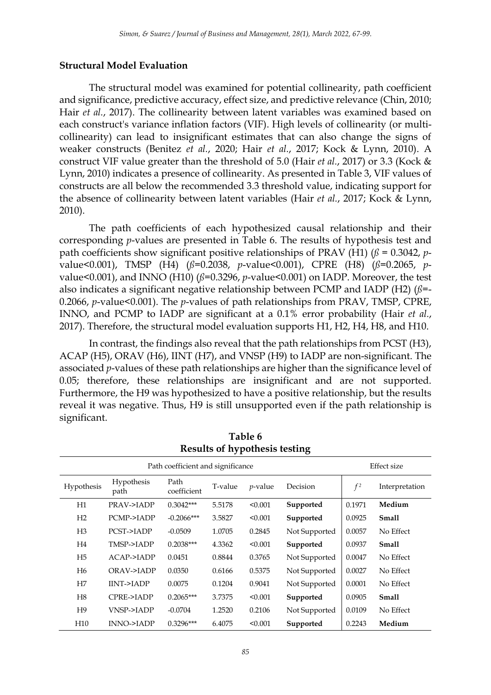#### **Structural Model Evaluation**

The structural model was examined for potential collinearity, path coefficient and significance, predictive accuracy, effect size, and predictive relevance (Chin, 2010; Hair *et al.*, 2017). The collinearity between latent variables was examined based on each construct's variance inflation factors (VIF). High levels of collinearity (or multicollinearity) can lead to insignificant estimates that can also change the signs of weaker constructs (Benitez *et al.*, 2020; Hair *et al.*, 2017; Kock & Lynn, 2010). A construct VIF value greater than the threshold of 5.0 (Hair *et al.*, 2017) or 3.3 (Kock & Lynn, 2010) indicates a presence of collinearity. As presented in Table 3, VIF values of constructs are all below the recommended 3.3 threshold value, indicating support for the absence of collinearity between latent variables (Hair *et al.*, 2017; Kock & Lynn, 2010).

The path coefficients of each hypothesized causal relationship and their corresponding *p*-values are presented in Table 6. The results of hypothesis test and path coefficients show significant positive relationships of PRAV (H1)  $(\beta = 0.3042, p$ value<0.001), TMSP (H4) (*ß*=0.2038, *p*-value<0.001), CPRE (H8) (*ß*=0.2065, *p*value<0.001), and INNO (H10) (*ß*=0.3296, *p*-value<0.001) on IADP. Moreover, the test also indicates a significant negative relationship between PCMP and IADP (H2) (*ß*=- 0.2066, *p*-value<0.001). The *p*-values of path relationships from PRAV, TMSP, CPRE, INNO, and PCMP to IADP are significant at a 0.1% error probability (Hair *et al.*, 2017). Therefore, the structural model evaluation supports H1, H2, H4, H8, and H10.

In contrast, the findings also reveal that the path relationships from PCST (H3), ACAP (H5), ORAV (H6), IINT (H7), and VNSP (H9) to IADP are non-significant. The associated *p*-values of these path relationships are higher than the significance level of 0.05; therefore, these relationships are insignificant and are not supported. Furthermore, the H9 was hypothesized to have a positive relationship, but the results reveal it was negative. Thus, H9 is still unsupported even if the path relationship is significant.

|                 |                      |                     | ╯▪      |                 | ັ             |                |                |
|-----------------|----------------------|---------------------|---------|-----------------|---------------|----------------|----------------|
|                 |                      | Effect size         |         |                 |               |                |                |
| Hypothesis      | Hypothesis<br>path   | Path<br>coefficient | T-value | <i>p</i> -value | Decision      | f <sup>2</sup> | Interpretation |
| H1              | PRAV->IADP           | $0.3042***$         | 5.5178  | < 0.001         | Supported     | 0.1971         | Medium         |
| H <sub>2</sub>  | PCMP->IADP           | $-0.2066***$        | 3.5827  | < 0.001         | Supported     | 0.0925         | Small          |
| H3              | PCST->IADP           | $-0.0509$           | 1.0705  | 0.2845          | Not Supported | 0.0057         | No Effect      |
| H4              | TMSP->IADP           | $0.2038***$         | 4.3362  | < 0.001         | Supported     | 0.0937         | Small          |
| H <sub>5</sub>  | ACAP->JADP           | 0.0451              | 0.8844  | 0.3765          | Not Supported | 0.0047         | No Effect      |
| H <sub>6</sub>  | ORAV->JADP           | 0.0350              | 0.6166  | 0.5375          | Not Supported | 0.0027         | No Effect      |
| H7              | IINT->IADP           | 0.0075              | 0.1204  | 0.9041          | Not Supported | 0.0001         | No Effect      |
| H <sub>8</sub>  | CPRE->IADP           | $0.2065***$         | 3.7375  | < 0.001         | Supported     | 0.0905         | Small          |
| H <sup>9</sup>  | VNSP->IADP           | $-0.0704$           | 1.2520  | 0.2106          | Not Supported | 0.0109         | No Effect      |
| H <sub>10</sub> | <b>INNO-&gt;IADP</b> | $0.3296***$         | 6.4075  | < 0.001         | Supported     | 0.2243         | Medium         |

**Table 6 Results of hypothesis testing**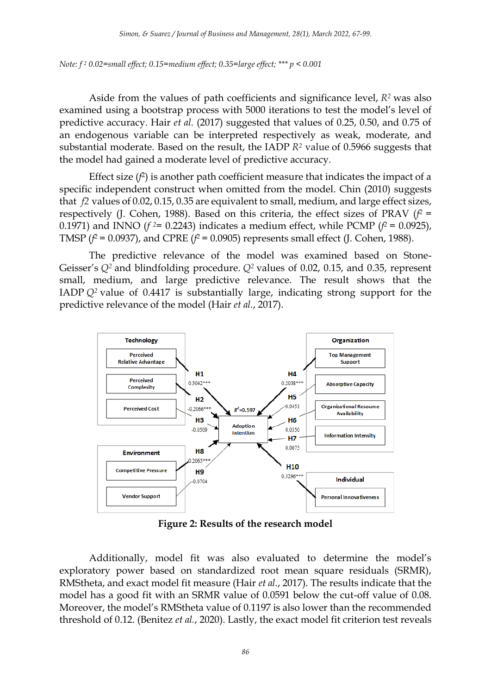*Note: f <sup>2</sup> 0.02=small effect; 0.15=medium effect; 0.35=large effect; \*\*\* p < 0.001*

Aside from the values of path coefficients and significance level, *R<sup>2</sup>* was also examined using a bootstrap process with 5000 iterations to test the model's level of predictive accuracy. Hair *et al.* (2017) suggested that values of 0.25, 0.50, and 0.75 of an endogenous variable can be interpreted respectively as weak, moderate, and substantial moderate. Based on the result, the IADP *R<sup>2</sup>* value of 0.5966 suggests that the model had gained a moderate level of predictive accuracy.

Effect size  $(f^2)$  is another path coefficient measure that indicates the impact of a specific independent construct when omitted from the model. Chin (2010) suggests that *f2* values of 0.02, 0.15, 0.35 are equivalent to small, medium, and large effect sizes, respectively (J. Cohen, 1988). Based on this criteria, the effect sizes of PRAV  $(f^2 =$ 0.1971) and INNO ( $f^2$  = 0.2243) indicates a medium effect, while PCMP ( $f^2$  = 0.0925), TMSP ( $f^2$  = 0.0937), and CPRE ( $f^2$  = 0.0905) represents small effect (J. Cohen, 1988).

The predictive relevance of the model was examined based on Stone-Geisser's *Q<sup>2</sup>* and blindfolding procedure. *Q<sup>2</sup>* values of 0.02, 0.15, and 0.35, represent small, medium, and large predictive relevance. The result shows that the IADP *Q<sup>2</sup>* value of 0.4417 is substantially large, indicating strong support for the predictive relevance of the model (Hair *et al.*, 2017).



**Figure 2: Results of the research model**

Additionally, model fit was also evaluated to determine the model's exploratory power based on standardized root mean square residuals (SRMR), RMStheta, and exact model fit measure (Hair *et al.*, 2017). The results indicate that the model has a good fit with an SRMR value of 0.0591 below the cut-off value of 0.08. Moreover, the model's RMStheta value of 0.1197 is also lower than the recommended threshold of 0.12. (Benitez *et al.*, 2020). Lastly, the exact model fit criterion test reveals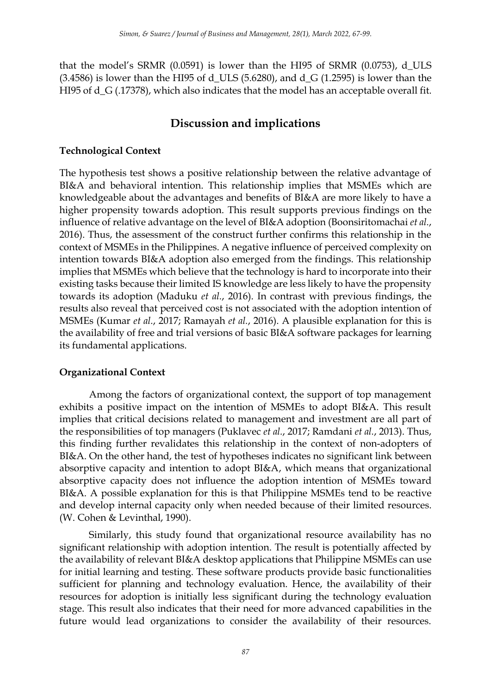that the model's SRMR (0.0591) is lower than the HI95 of SRMR (0.0753), d\_ULS  $(3.4586)$  is lower than the HI95 of d\_ULS (5.6280), and d\_G (1.2595) is lower than the HI95 of d G (.17378), which also indicates that the model has an acceptable overall fit.

# **Discussion and implications**

## **Technological Context**

The hypothesis test shows a positive relationship between the relative advantage of BI&A and behavioral intention. This relationship implies that MSMEs which are knowledgeable about the advantages and benefits of BI&A are more likely to have a higher propensity towards adoption. This result supports previous findings on the influence of relative advantage on the level of BI&A adoption (Boonsiritomachai *et al.*, 2016). Thus, the assessment of the construct further confirms this relationship in the context of MSMEs in the Philippines. A negative influence of perceived complexity on intention towards BI&A adoption also emerged from the findings. This relationship implies that MSMEs which believe that the technology is hard to incorporate into their existing tasks because their limited IS knowledge are less likely to have the propensity towards its adoption (Maduku *et al.*, 2016). In contrast with previous findings, the results also reveal that perceived cost is not associated with the adoption intention of MSMEs (Kumar *et al.*, 2017; Ramayah *et al.*, 2016). A plausible explanation for this is the availability of free and trial versions of basic BI&A software packages for learning its fundamental applications.

## **Organizational Context**

Among the factors of organizational context, the support of top management exhibits a positive impact on the intention of MSMEs to adopt BI&A. This result implies that critical decisions related to management and investment are all part of the responsibilities of top managers (Puklavec *et al.*, 2017; Ramdani *et al.*, 2013). Thus, this finding further revalidates this relationship in the context of non-adopters of BI&A. On the other hand, the test of hypotheses indicates no significant link between absorptive capacity and intention to adopt BI&A, which means that organizational absorptive capacity does not influence the adoption intention of MSMEs toward BI&A. A possible explanation for this is that Philippine MSMEs tend to be reactive and develop internal capacity only when needed because of their limited resources. (W. Cohen & Levinthal, 1990).

Similarly, this study found that organizational resource availability has no significant relationship with adoption intention. The result is potentially affected by the availability of relevant BI&A desktop applications that Philippine MSMEs can use for initial learning and testing. These software products provide basic functionalities sufficient for planning and technology evaluation. Hence, the availability of their resources for adoption is initially less significant during the technology evaluation stage. This result also indicates that their need for more advanced capabilities in the future would lead organizations to consider the availability of their resources.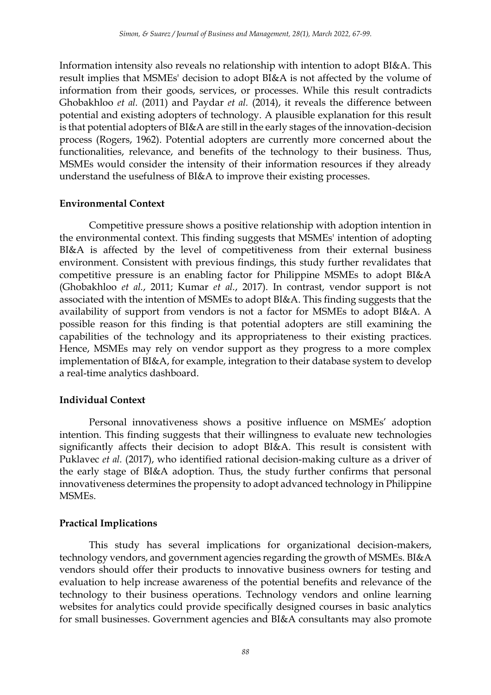Information intensity also reveals no relationship with intention to adopt BI&A. This result implies that MSMEs' decision to adopt BI&A is not affected by the volume of information from their goods, services, or processes. While this result contradicts Ghobakhloo *et al.* (2011) and Paydar *et al.* (2014), it reveals the difference between potential and existing adopters of technology. A plausible explanation for this result is that potential adopters of BI&A are still in the early stages of the innovation-decision process (Rogers, 1962). Potential adopters are currently more concerned about the functionalities, relevance, and benefits of the technology to their business. Thus, MSMEs would consider the intensity of their information resources if they already understand the usefulness of BI&A to improve their existing processes.

## **Environmental Context**

Competitive pressure shows a positive relationship with adoption intention in the environmental context. This finding suggests that MSMEs' intention of adopting BI&A is affected by the level of competitiveness from their external business environment. Consistent with previous findings, this study further revalidates that competitive pressure is an enabling factor for Philippine MSMEs to adopt BI&A (Ghobakhloo *et al.*, 2011; Kumar *et al.*, 2017). In contrast, vendor support is not associated with the intention of MSMEs to adopt BI&A. This finding suggests that the availability of support from vendors is not a factor for MSMEs to adopt BI&A. A possible reason for this finding is that potential adopters are still examining the capabilities of the technology and its appropriateness to their existing practices. Hence, MSMEs may rely on vendor support as they progress to a more complex implementation of BI&A, for example, integration to their database system to develop a real-time analytics dashboard.

## **Individual Context**

Personal innovativeness shows a positive influence on MSMEs' adoption intention. This finding suggests that their willingness to evaluate new technologies significantly affects their decision to adopt BI&A. This result is consistent with Puklavec *et al.* (2017), who identified rational decision-making culture as a driver of the early stage of BI&A adoption. Thus, the study further confirms that personal innovativeness determines the propensity to adopt advanced technology in Philippine **MSMEs** 

## **Practical Implications**

This study has several implications for organizational decision-makers, technology vendors, and government agencies regarding the growth of MSMEs. BI&A vendors should offer their products to innovative business owners for testing and evaluation to help increase awareness of the potential benefits and relevance of the technology to their business operations. Technology vendors and online learning websites for analytics could provide specifically designed courses in basic analytics for small businesses. Government agencies and BI&A consultants may also promote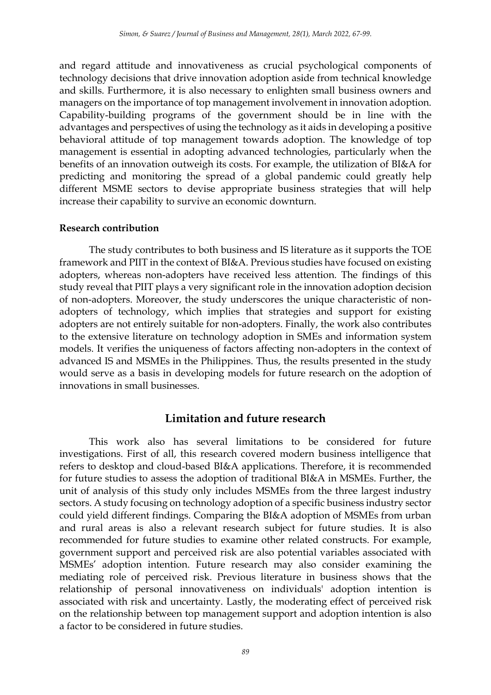and regard attitude and innovativeness as crucial psychological components of technology decisions that drive innovation adoption aside from technical knowledge and skills. Furthermore, it is also necessary to enlighten small business owners and managers on the importance of top management involvement in innovation adoption. Capability-building programs of the government should be in line with the advantages and perspectives of using the technology as it aids in developing a positive behavioral attitude of top management towards adoption. The knowledge of top management is essential in adopting advanced technologies, particularly when the benefits of an innovation outweigh its costs. For example, the utilization of BI&A for predicting and monitoring the spread of a global pandemic could greatly help different MSME sectors to devise appropriate business strategies that will help increase their capability to survive an economic downturn.

#### **Research contribution**

The study contributes to both business and IS literature as it supports the TOE framework and PIIT in the context of BI&A. Previous studies have focused on existing adopters, whereas non-adopters have received less attention. The findings of this study reveal that PIIT plays a very significant role in the innovation adoption decision of non-adopters. Moreover, the study underscores the unique characteristic of nonadopters of technology, which implies that strategies and support for existing adopters are not entirely suitable for non-adopters. Finally, the work also contributes to the extensive literature on technology adoption in SMEs and information system models. It verifies the uniqueness of factors affecting non-adopters in the context of advanced IS and MSMEs in the Philippines. Thus, the results presented in the study would serve as a basis in developing models for future research on the adoption of innovations in small businesses.

## **Limitation and future research**

This work also has several limitations to be considered for future investigations. First of all, this research covered modern business intelligence that refers to desktop and cloud-based BI&A applications. Therefore, it is recommended for future studies to assess the adoption of traditional BI&A in MSMEs. Further, the unit of analysis of this study only includes MSMEs from the three largest industry sectors. A study focusing on technology adoption of a specific business industry sector could yield different findings. Comparing the BI&A adoption of MSMEs from urban and rural areas is also a relevant research subject for future studies. It is also recommended for future studies to examine other related constructs. For example, government support and perceived risk are also potential variables associated with MSMEs' adoption intention. Future research may also consider examining the mediating role of perceived risk. Previous literature in business shows that the relationship of personal innovativeness on individuals' adoption intention is associated with risk and uncertainty. Lastly, the moderating effect of perceived risk on the relationship between top management support and adoption intention is also a factor to be considered in future studies.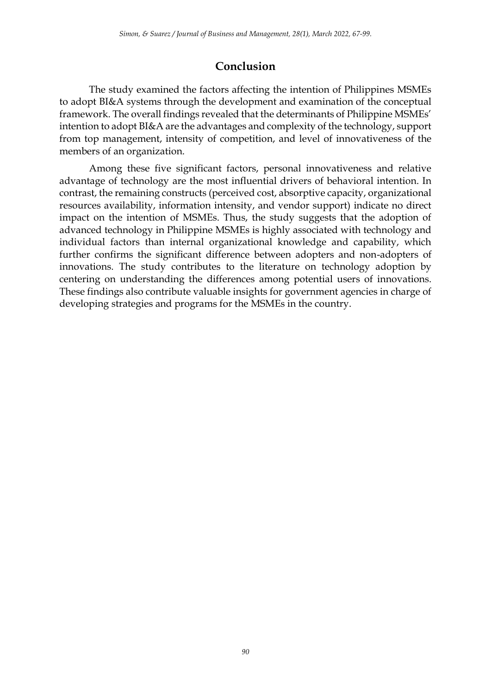# **Conclusion**

The study examined the factors affecting the intention of Philippines MSMEs to adopt BI&A systems through the development and examination of the conceptual framework. The overall findings revealed that the determinants of Philippine MSMEs' intention to adopt BI&A are the advantages and complexity of the technology, support from top management, intensity of competition, and level of innovativeness of the members of an organization.

Among these five significant factors, personal innovativeness and relative advantage of technology are the most influential drivers of behavioral intention. In contrast, the remaining constructs (perceived cost, absorptive capacity, organizational resources availability, information intensity, and vendor support) indicate no direct impact on the intention of MSMEs. Thus, the study suggests that the adoption of advanced technology in Philippine MSMEs is highly associated with technology and individual factors than internal organizational knowledge and capability, which further confirms the significant difference between adopters and non-adopters of innovations. The study contributes to the literature on technology adoption by centering on understanding the differences among potential users of innovations. These findings also contribute valuable insights for government agencies in charge of developing strategies and programs for the MSMEs in the country.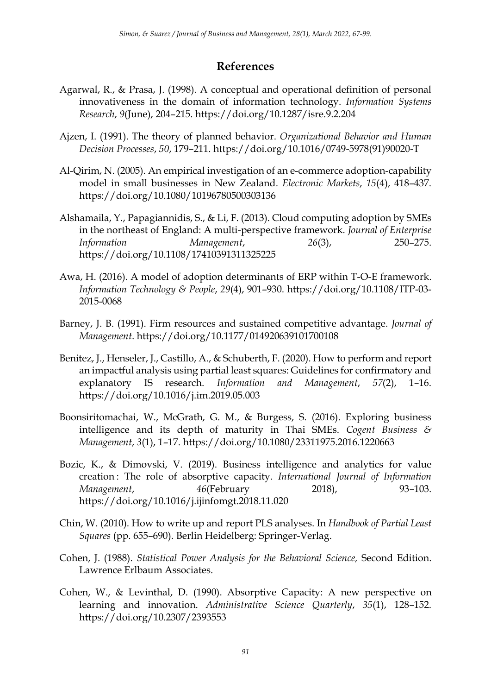# **References**

- Agarwal, R., & Prasa, J. (1998). A conceptual and operational definition of personal innovativeness in the domain of information technology. *Information Systems Research*, *9*(June), 204–215. https://doi.org/10.1287/isre.9.2.204
- Ajzen, I. (1991). The theory of planned behavior. *Organizational Behavior and Human Decision Processes*, *50*, 179–211. https://doi.org/10.1016/0749-5978(91)90020-T
- Al-Qirim, N. (2005). An empirical investigation of an e-commerce adoption-capability model in small businesses in New Zealand. *Electronic Markets*, *15*(4), 418–437. https://doi.org/10.1080/10196780500303136
- Alshamaila, Y., Papagiannidis, S., & Li, F. (2013). Cloud computing adoption by SMEs in the northeast of England: A multi-perspective framework. *Journal of Enterprise Information Management*, *26*(3), 250–275. https://doi.org/10.1108/17410391311325225
- Awa, H. (2016). A model of adoption determinants of ERP within T-O-E framework. *Information Technology & People*, *29*(4), 901–930. https://doi.org/10.1108/ITP-03- 2015-0068
- Barney, J. B. (1991). Firm resources and sustained competitive advantage. *Journal of Management*. https://doi.org/10.1177/014920639101700108
- Benitez, J., Henseler, J., Castillo, A., & Schuberth, F. (2020). How to perform and report an impactful analysis using partial least squares: Guidelines for confirmatory and explanatory IS research. *Information and Management*, *57*(2), 1–16. https://doi.org/10.1016/j.im.2019.05.003
- Boonsiritomachai, W., McGrath, G. M., & Burgess, S. (2016). Exploring business intelligence and its depth of maturity in Thai SMEs. *Cogent Business & Management*, *3*(1), 1–17. https://doi.org/10.1080/23311975.2016.1220663
- Bozic, K., & Dimovski, V. (2019). Business intelligence and analytics for value creation : The role of absorptive capacity. *International Journal of Information Management*, *46*(February 2018), 93–103. https://doi.org/10.1016/j.ijinfomgt.2018.11.020
- Chin, W. (2010). How to write up and report PLS analyses. In *Handbook of Partial Least Squares* (pp. 655–690). Berlin Heidelberg: Springer-Verlag.
- Cohen, J. (1988). *Statistical Power Analysis for the Behavioral Science,* Second Edition. Lawrence Erlbaum Associates.
- Cohen, W., & Levinthal, D. (1990). Absorptive Capacity: A new perspective on learning and innovation. *Administrative Science Quarterly*, *35*(1), 128–152. https://doi.org/10.2307/2393553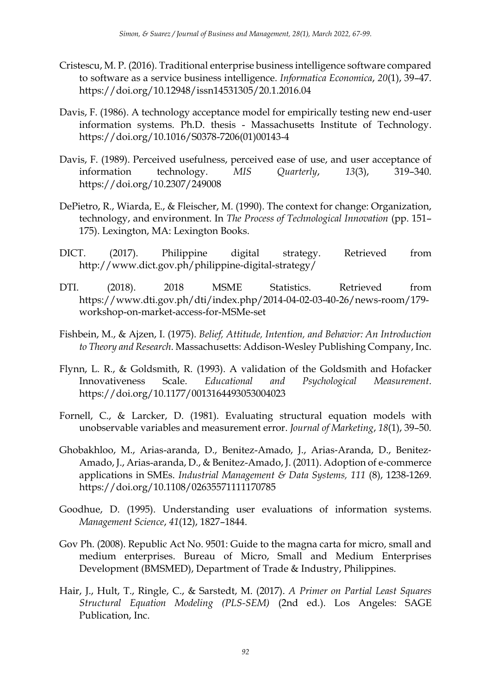- Cristescu, M. P. (2016). Traditional enterprise business intelligence software compared to software as a service business intelligence. *Informatica Economica*, *20*(1), 39–47. https://doi.org/10.12948/issn14531305/20.1.2016.04
- Davis, F. (1986). A technology acceptance model for empirically testing new end-user information systems. Ph.D. thesis - Massachusetts Institute of Technology. https://doi.org/10.1016/S0378-7206(01)00143-4
- Davis, F. (1989). Perceived usefulness, perceived ease of use, and user acceptance of information technology. *MIS Quarterly*, *13*(3), 319–340. https://doi.org/10.2307/249008
- DePietro, R., Wiarda, E., & Fleischer, M. (1990). The context for change: Organization, technology, and environment. In *The Process of Technological Innovation* (pp. 151– 175). Lexington, MA: Lexington Books.
- DICT. (2017). Philippine digital strategy. Retrieved from http://www.dict.gov.ph/philippine-digital-strategy/
- DTI. (2018). 2018 MSME Statistics. Retrieved from https://www.dti.gov.ph/dti/index.php/2014-04-02-03-40-26/news-room/179 workshop-on-market-access-for-MSMe-set
- Fishbein, M., & Ajzen, I. (1975). *Belief, Attitude, Intention, and Behavior: An Introduction to Theory and Research*. Massachusetts: Addison-Wesley Publishing Company, Inc.
- Flynn, L. R., & Goldsmith, R. (1993). A validation of the Goldsmith and Hofacker Innovativeness Scale. *Educational and Psychological Measurement*. https://doi.org/10.1177/0013164493053004023
- Fornell, C., & Larcker, D. (1981). Evaluating structural equation models with unobservable variables and measurement error. *Journal of Marketing*, *18*(1), 39–50.
- Ghobakhloo, M., Arias-aranda, D., Benitez-Amado, J., Arias‐Aranda, D., Benitez‐ Amado, J., Arias-aranda, D., & Benitez-Amado, J. (2011). Adoption of e‐commerce applications in SMEs. *Industrial Management & Data Systems, 111* (8), 1238-1269. https://doi.org/10.1108/02635571111170785
- Goodhue, D. (1995). Understanding user evaluations of information systems. *Management Science*, *41*(12), 1827–1844.
- Gov Ph. (2008). Republic Act No. 9501: Guide to the magna carta for micro, small and medium enterprises. Bureau of Micro, Small and Medium Enterprises Development (BMSMED), Department of Trade & Industry, Philippines.
- Hair, J., Hult, T., Ringle, C., & Sarstedt, M. (2017). *A Primer on Partial Least Squares Structural Equation Modeling (PLS-SEM)* (2nd ed.). Los Angeles: SAGE Publication, Inc.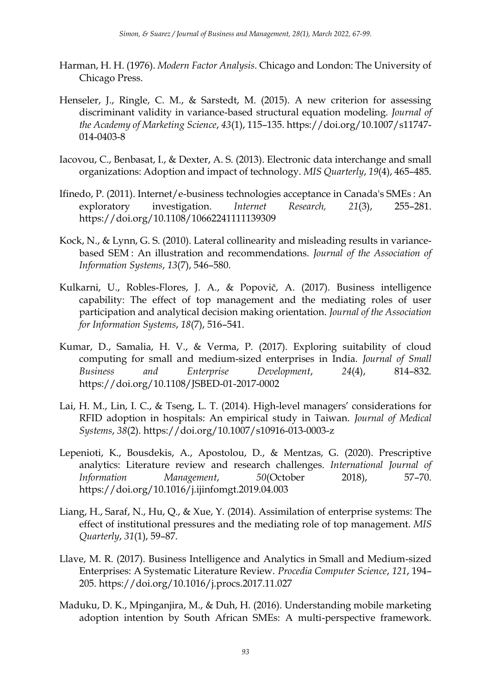- Harman, H. H. (1976). *Modern Factor Analysis*. Chicago and London: The University of Chicago Press.
- Henseler, J., Ringle, C. M., & Sarstedt, M. (2015). A new criterion for assessing discriminant validity in variance-based structural equation modeling. *Journal of the Academy of Marketing Science*, *43*(1), 115–135. https://doi.org/10.1007/s11747- 014-0403-8
- Iacovou, C., Benbasat, I., & Dexter, A. S. (2013). Electronic data interchange and small organizations: Adoption and impact of technology. *MIS Quarterly*, *19*(4), 465–485.
- Ifinedo, P. (2011). Internet/e-business technologies acceptance in Canada's SMEs : An exploratory investigation. *Internet Research, 21*(3), 255–281. https://doi.org/10.1108/10662241111139309
- Kock, N., & Lynn, G. S. (2010). Lateral collinearity and misleading results in variancebased SEM : An illustration and recommendations. *Journal of the Association of Information Systems*, *13*(7), 546–580.
- Kulkarni, U., Robles-Flores, J. A., & Popovič, A. (2017). Business intelligence capability: The effect of top management and the mediating roles of user participation and analytical decision making orientation. *Journal of the Association for Information Systems*, *18*(7), 516–541.
- Kumar, D., Samalia, H. V., & Verma, P. (2017). Exploring suitability of cloud computing for small and medium-sized enterprises in India. *Journal of Small Business and Enterprise Development*, *24*(4), 814–832. https://doi.org/10.1108/JSBED-01-2017-0002
- Lai, H. M., Lin, I. C., & Tseng, L. T. (2014). High-level managers' considerations for RFID adoption in hospitals: An empirical study in Taiwan. *Journal of Medical Systems*, *38*(2). https://doi.org/10.1007/s10916-013-0003-z
- Lepenioti, K., Bousdekis, A., Apostolou, D., & Mentzas, G. (2020). Prescriptive analytics: Literature review and research challenges. *International Journal of Information Management*, *50*(October 2018), 57–70. https://doi.org/10.1016/j.ijinfomgt.2019.04.003
- Liang, H., Saraf, N., Hu, Q., & Xue, Y. (2014). Assimilation of enterprise systems: The effect of institutional pressures and the mediating role of top management. *MIS Quarterly*, *31*(1), 59–87.
- Llave, M. R. (2017). Business Intelligence and Analytics in Small and Medium-sized Enterprises: A Systematic Literature Review. *Procedia Computer Science*, *121*, 194– 205. https://doi.org/10.1016/j.procs.2017.11.027
- Maduku, D. K., Mpinganjira, M., & Duh, H. (2016). Understanding mobile marketing adoption intention by South African SMEs: A multi-perspective framework.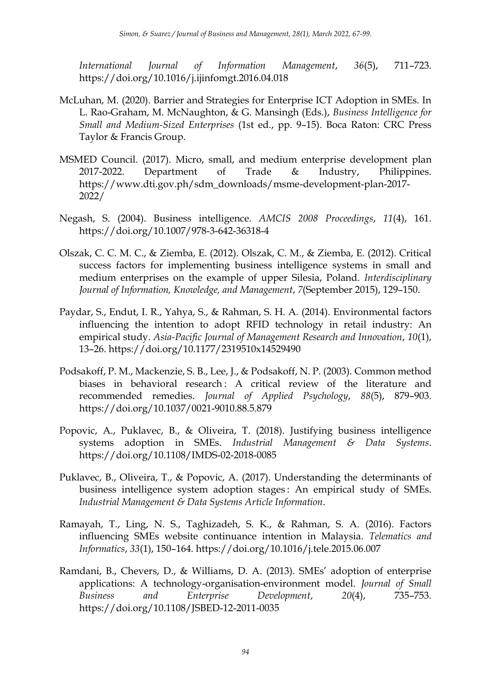*International Journal of Information Management*, *36*(5), 711–723. https://doi.org/10.1016/j.ijinfomgt.2016.04.018

- McLuhan, M. (2020). Barrier and Strategies for Enterprise ICT Adoption in SMEs. In L. Rao-Graham, M. McNaughton, & G. Mansingh (Eds.), *Business Intelligence for Small and Medium-Sized Enterprises* (1st ed., pp. 9–15). Boca Raton: CRC Press Taylor & Francis Group.
- MSMED Council. (2017). Micro, small, and medium enterprise development plan 2017-2022. Department of Trade & Industry, Philippines. https://www.dti.gov.ph/sdm\_downloads/msme-development-plan-2017- 2022/
- Negash, S. (2004). Business intelligence. *AMCIS 2008 Proceedings*, *11*(4), 161. https://doi.org/10.1007/978-3-642-36318-4
- Olszak, C. C. M. C., & Ziemba, E. (2012). Olszak, C. M., & Ziemba, E. (2012). Critical success factors for implementing business intelligence systems in small and medium enterprises on the example of upper Silesia, Poland. *Interdisciplinary Journal of Information, Knowledge, and Management*, *7*(September 2015), 129–150.
- Paydar, S., Endut, I. R., Yahya, S., & Rahman, S. H. A. (2014). Environmental factors influencing the intention to adopt RFID technology in retail industry: An empirical study. *Asia-Pacific Journal of Management Research and Innovation*, *10*(1), 13–26. https://doi.org/10.1177/2319510x14529490
- Podsakoff, P. M., Mackenzie, S. B., Lee, J., & Podsakoff, N. P. (2003). Common method biases in behavioral research : A critical review of the literature and recommended remedies. *Journal of Applied Psychology*, *88*(5), 879–903. https://doi.org/10.1037/0021-9010.88.5.879
- Popovic, A., Puklavec, B., & Oliveira, T. (2018). Justifying business intelligence systems adoption in SMEs. *Industrial Management & Data Systems*. https://doi.org/10.1108/IMDS-02-2018-0085
- Puklavec, B., Oliveira, T., & Popovic, A. (2017). Understanding the determinants of business intelligence system adoption stages : An empirical study of SMEs. *Industrial Management & Data Systems Article Information*.
- Ramayah, T., Ling, N. S., Taghizadeh, S. K., & Rahman, S. A. (2016). Factors influencing SMEs website continuance intention in Malaysia. *Telematics and Informatics*, *33*(1), 150–164. https://doi.org/10.1016/j.tele.2015.06.007
- Ramdani, B., Chevers, D., & Williams, D. A. (2013). SMEs' adoption of enterprise applications: A technology-organisation-environment model. *Journal of Small Business and Enterprise Development*, *20*(4), 735–753. https://doi.org/10.1108/JSBED-12-2011-0035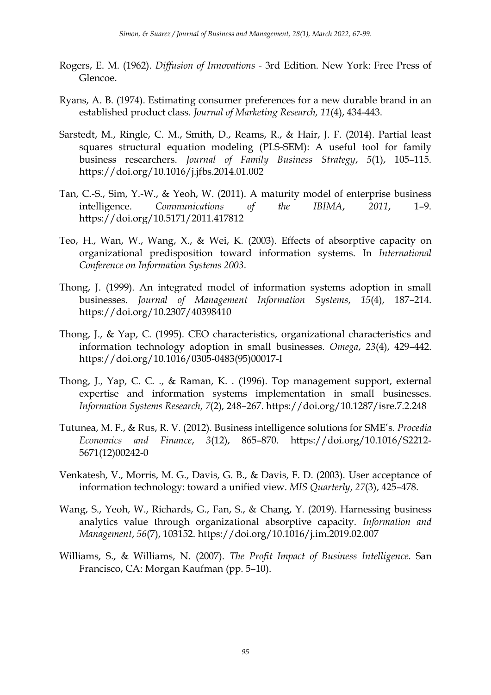- Rogers, E. M. (1962). *Diffusion of Innovations -* 3rd Edition. New York: Free Press of Glencoe.
- Ryans, A. B. (1974). Estimating consumer preferences for a new durable brand in an established product class. *Journal of Marketing Research, 11*(4), 434-443.
- Sarstedt, M., Ringle, C. M., Smith, D., Reams, R., & Hair, J. F. (2014). Partial least squares structural equation modeling (PLS-SEM): A useful tool for family business researchers. *Journal of Family Business Strategy*, *5*(1), 105–115. https://doi.org/10.1016/j.jfbs.2014.01.002
- Tan, C.-S., Sim, Y.-W., & Yeoh, W. (2011). A maturity model of enterprise business intelligence. *Communications of the IBIMA*, *2011*, 1–9. https://doi.org/10.5171/2011.417812
- Teo, H., Wan, W., Wang, X., & Wei, K. (2003). Effects of absorptive capacity on organizational predisposition toward information systems. In *International Conference on Information Systems 2003*.
- Thong, J. (1999). An integrated model of information systems adoption in small businesses. *Journal of Management Information Systems*, *15*(4), 187–214. https://doi.org/10.2307/40398410
- Thong, J., & Yap, C. (1995). CEO characteristics, organizational characteristics and information technology adoption in small businesses. *Omega*, *23*(4), 429–442. https://doi.org/10.1016/0305-0483(95)00017-I
- Thong, J., Yap, C. C. ., & Raman, K. . (1996). Top management support, external expertise and information systems implementation in small businesses. *Information Systems Research*, *7*(2), 248–267. https://doi.org/10.1287/isre.7.2.248
- Tutunea, M. F., & Rus, R. V. (2012). Business intelligence solutions for SME's. *Procedia Economics and Finance*, *3*(12), 865–870. https://doi.org/10.1016/S2212- 5671(12)00242-0
- Venkatesh, V., Morris, M. G., Davis, G. B., & Davis, F. D. (2003). User acceptance of information technology: toward a unified view. *MIS Quarterly*, *27*(3), 425–478.
- Wang, S., Yeoh, W., Richards, G., Fan, S., & Chang, Y. (2019). Harnessing business analytics value through organizational absorptive capacity. *Information and Management*, *56*(7), 103152. https://doi.org/10.1016/j.im.2019.02.007
- Williams, S., & Williams, N. (2007). *The Profit Impact of Business Intelligence*. San Francisco, CA: Morgan Kaufman (pp. 5–10).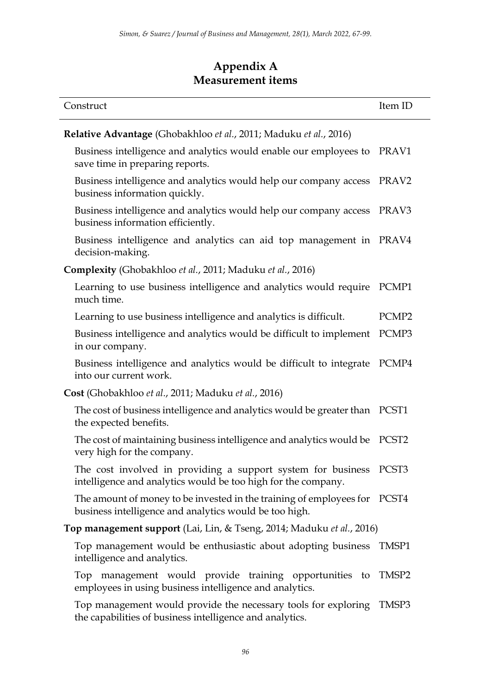# **Appendix A Measurement items**

| Construct                                                                                                                           | Item ID           |
|-------------------------------------------------------------------------------------------------------------------------------------|-------------------|
| Relative Advantage (Ghobakhloo et al., 2011; Maduku et al., 2016)                                                                   |                   |
| Business intelligence and analytics would enable our employees to PRAV1<br>save time in preparing reports.                          |                   |
| Business intelligence and analytics would help our company access<br>business information quickly.                                  | PRAV <sub>2</sub> |
| Business intelligence and analytics would help our company access<br>business information efficiently.                              | PRAV3             |
| Business intelligence and analytics can aid top management in PRAV4<br>decision-making.                                             |                   |
| <b>Complexity</b> (Ghobakhloo et al., 2011; Maduku et al., 2016)                                                                    |                   |
| Learning to use business intelligence and analytics would require PCMP1<br>much time.                                               |                   |
| Learning to use business intelligence and analytics is difficult.                                                                   | PCMP <sub>2</sub> |
| Business intelligence and analytics would be difficult to implement PCMP3<br>in our company.                                        |                   |
| Business intelligence and analytics would be difficult to integrate PCMP4<br>into our current work.                                 |                   |
| Cost (Ghobakhloo et al., 2011; Maduku et al., 2016)                                                                                 |                   |
| The cost of business intelligence and analytics would be greater than PCST1<br>the expected benefits.                               |                   |
| The cost of maintaining business intelligence and analytics would be<br>very high for the company.                                  | PCST <sub>2</sub> |
| The cost involved in providing a support system for business PCST3<br>intelligence and analytics would be too high for the company. |                   |
| The amount of money to be invested in the training of employees for PCST4<br>business intelligence and analytics would be too high. |                   |
| Top management support (Lai, Lin, & Tseng, 2014; Maduku et al., 2016)                                                               |                   |
| Top management would be enthusiastic about adopting business TMSP1<br>intelligence and analytics.                                   |                   |
| Top management would provide training opportunities to TMSP2<br>employees in using business intelligence and analytics.             |                   |
| Top management would provide the necessary tools for exploring                                                                      | TMSP3             |

the capabilities of business intelligence and analytics.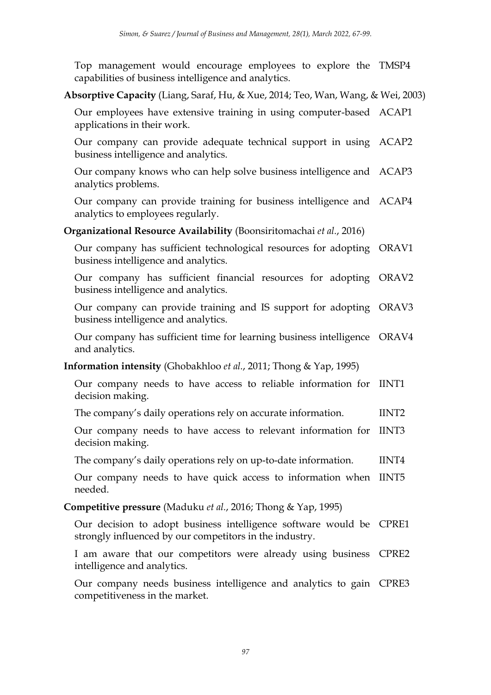Top management would encourage employees to explore the TMSP4 capabilities of business intelligence and analytics.

## **Absorptive Capacity** (Liang, Saraf, Hu, & Xue, 2014; Teo, Wan, Wang, & Wei, 2003)

Our employees have extensive training in using computer-based ACAP1 applications in their work.

Our company can provide adequate technical support in using ACAP2 business intelligence and analytics.

Our company knows who can help solve business intelligence and ACAP3 analytics problems.

Our company can provide training for business intelligence and ACAP4 analytics to employees regularly.

## **Organizational Resource Availability** (Boonsiritomachai *et al.*, 2016)

Our company has sufficient technological resources for adopting business intelligence and analytics. ORAV1

Our company has sufficient financial resources for adopting business intelligence and analytics. ORAV2

Our company can provide training and IS support for adopting business intelligence and analytics. ORAV3

Our company has sufficient time for learning business intelligence ORAV4 and analytics.

**Information intensity** (Ghobakhloo *et al.*, 2011; Thong & Yap, 1995)

Our company needs to have access to reliable information for IINT1 decision making.

The company's daily operations rely on accurate information. IINT2

Our company needs to have access to relevant information for decision making. IINT3

The company's daily operations rely on up-to-date information. IINT4

Our company needs to have quick access to information when IINT5 needed.

**Competitive pressure** (Maduku *et al.*, 2016; Thong & Yap, 1995)

Our decision to adopt business intelligence software would be CPRE1 strongly influenced by our competitors in the industry.

I am aware that our competitors were already using business intelligence and analytics. CPRE2

Our company needs business intelligence and analytics to gain CPRE3competitiveness in the market.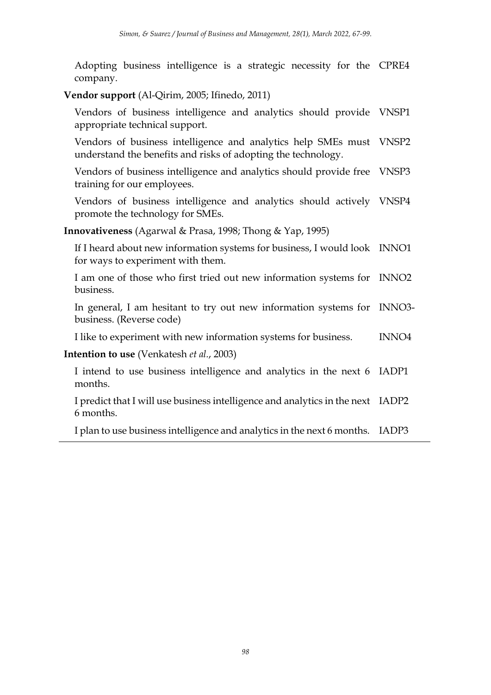Adopting business intelligence is a strategic necessity for the CPRE4 company.

**Vendor support** (Al-Qirim, 2005; Ifinedo, 2011)

Vendors of business intelligence and analytics should provide VNSP1 appropriate technical support.

Vendors of business intelligence and analytics help SMEs must VNSP2 understand the benefits and risks of adopting the technology.

Vendors of business intelligence and analytics should provide free VNSP3 training for our employees.

Vendors of business intelligence and analytics should actively VNSP4 promote the technology for SMEs.

**Innovativeness** (Agarwal & Prasa, 1998; Thong & Yap, 1995)

If I heard about new information systems for business, I would look INNO1 for ways to experiment with them.

I am one of those who first tried out new information systems for INNO2 business.

In general, I am hesitant to try out new information systems for INNO3 business. (Reverse code)

I like to experiment with new information systems for business. INNO4

**Intention to use** (Venkatesh *et al.*, 2003)

I intend to use business intelligence and analytics in the next 6 IADP1 months.

I predict that I will use business intelligence and analytics in the next IADP2 6 months.

I plan to use business intelligence and analytics in the next 6 months. IADP3